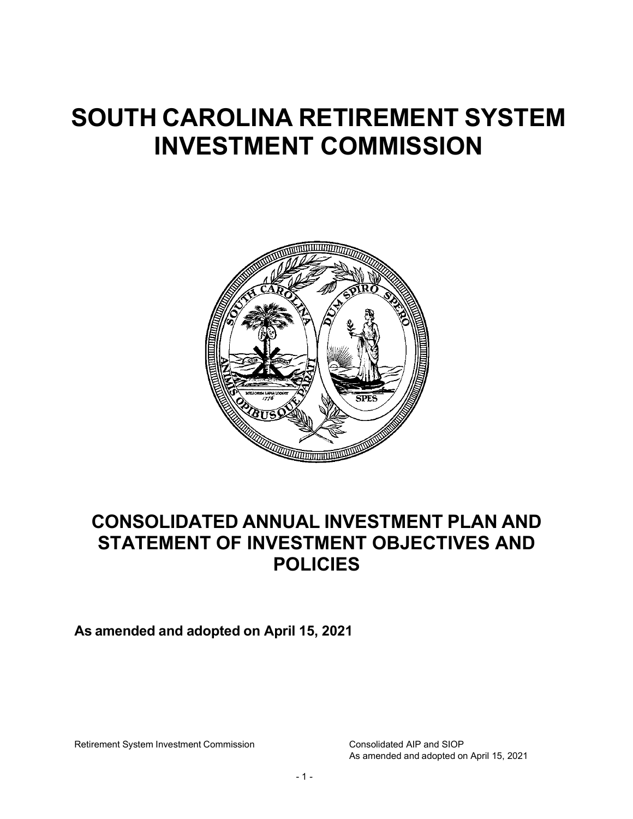# **SOUTH CAROLINA RETIREMENT SYSTEM INVESTMENT COMMISSION**



# **CONSOLIDATED ANNUAL INVESTMENT PLAN AND STATEMENT OF INVESTMENT OBJECTIVES AND POLICIES**

**As amended and adopted on April 15, 2021**

Retirement System Investment Commission Consolidated AIP and SIOP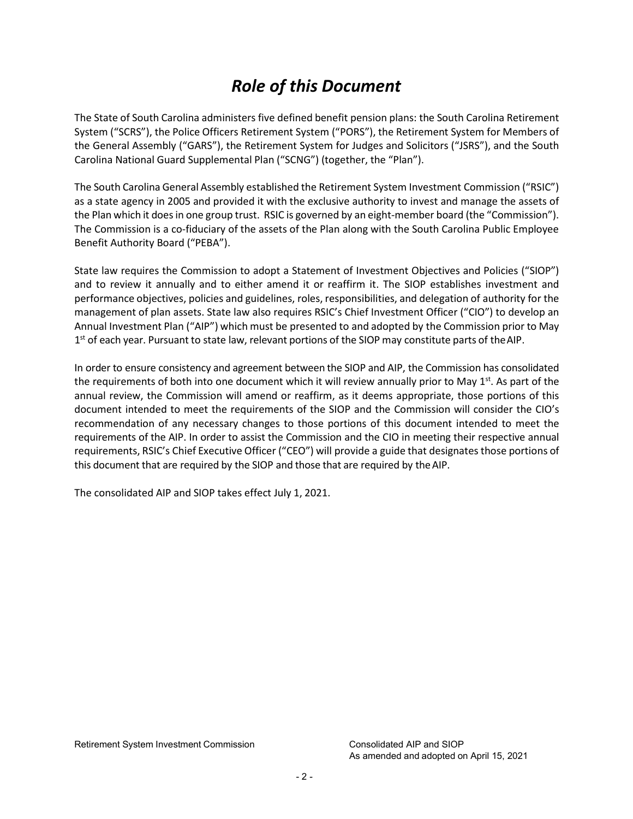# *Role of this Document*

The State of South Carolina administers five defined benefit pension plans: the South Carolina Retirement System ("SCRS"), the Police Officers Retirement System ("PORS"), the Retirement System for Members of the General Assembly ("GARS"), the Retirement System for Judges and Solicitors ("JSRS"), and the South Carolina National Guard Supplemental Plan ("SCNG") (together, the "Plan").

The South Carolina General Assembly established the Retirement System Investment Commission ("RSIC") as a state agency in 2005 and provided it with the exclusive authority to invest and manage the assets of the Plan which it doesin one group trust. RSIC is governed by an eight-member board (the "Commission"). The Commission is a co-fiduciary of the assets of the Plan along with the South Carolina Public Employee Benefit Authority Board ("PEBA").

State law requires the Commission to adopt a Statement of Investment Objectives and Policies ("SIOP") and to review it annually and to either amend it or reaffirm it. The SIOP establishes investment and performance objectives, policies and guidelines, roles, responsibilities, and delegation of authority for the management of plan assets. State law also requires RSIC's Chief Investment Officer ("CIO") to develop an Annual Investment Plan ("AIP") which must be presented to and adopted by the Commission prior to May 1<sup>st</sup> of each year. Pursuant to state law, relevant portions of the SIOP may constitute parts of the AIP.

In order to ensure consistency and agreement between the SIOP and AIP, the Commission has consolidated the requirements of both into one document which it will review annually prior to May  $1<sup>st</sup>$ . As part of the annual review, the Commission will amend or reaffirm, as it deems appropriate, those portions of this document intended to meet the requirements of the SIOP and the Commission will consider the CIO's recommendation of any necessary changes to those portions of this document intended to meet the requirements of the AIP. In order to assist the Commission and the CIO in meeting their respective annual requirements, RSIC's Chief Executive Officer ("CEO") will provide a guide that designates those portions of this document that are required by the SIOP and those that are required by the AIP.

The consolidated AIP and SIOP takes effect July 1, 2021.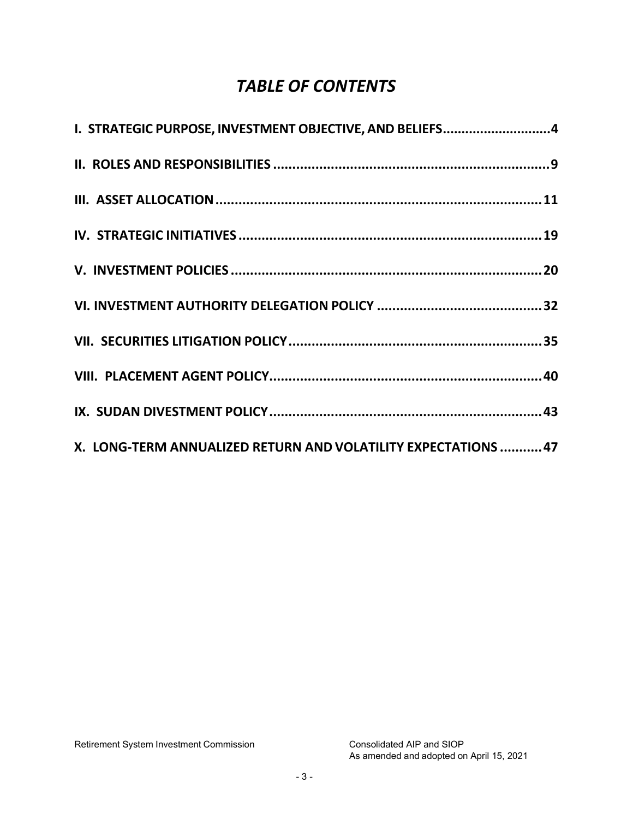# *TABLE OF CONTENTS*

| I. STRATEGIC PURPOSE, INVESTMENT OBJECTIVE, AND BELIEFS4       |  |
|----------------------------------------------------------------|--|
|                                                                |  |
|                                                                |  |
|                                                                |  |
|                                                                |  |
|                                                                |  |
|                                                                |  |
|                                                                |  |
|                                                                |  |
| X. LONG-TERM ANNUALIZED RETURN AND VOLATILITY EXPECTATIONS  47 |  |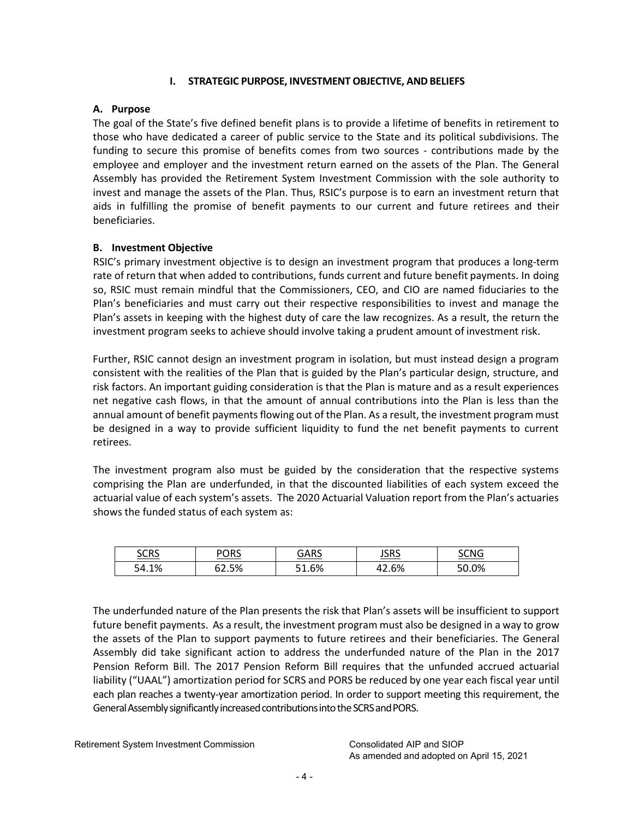# **I. STRATEGIC PURPOSE, INVESTMENT OBJECTIVE, ANDBELIEFS**

# <span id="page-3-0"></span>**A. Purpose**

The goal of the State's five defined benefit plans is to provide a lifetime of benefits in retirement to those who have dedicated a career of public service to the State and its political subdivisions. The funding to secure this promise of benefits comes from two sources - contributions made by the employee and employer and the investment return earned on the assets of the Plan. The General Assembly has provided the Retirement System Investment Commission with the sole authority to invest and manage the assets of the Plan. Thus, RSIC's purpose is to earn an investment return that aids in fulfilling the promise of benefit payments to our current and future retirees and their beneficiaries.

# **B. Investment Objective**

RSIC's primary investment objective is to design an investment program that produces a long-term rate of return that when added to contributions, funds current and future benefit payments. In doing so, RSIC must remain mindful that the Commissioners, CEO, and CIO are named fiduciaries to the Plan's beneficiaries and must carry out their respective responsibilities to invest and manage the Plan's assets in keeping with the highest duty of care the law recognizes. As a result, the return the investment program seeks to achieve should involve taking a prudent amount of investment risk.

Further, RSIC cannot design an investment program in isolation, but must instead design a program consistent with the realities of the Plan that is guided by the Plan's particular design, structure, and risk factors. An important guiding consideration is that the Plan is mature and as a result experiences net negative cash flows, in that the amount of annual contributions into the Plan is less than the annual amount of benefit payments flowing out of the Plan. As a result, the investment program must be designed in a way to provide sufficient liquidity to fund the net benefit payments to current retirees.

The investment program also must be guided by the consideration that the respective systems comprising the Plan are underfunded, in that the discounted liabilities of each system exceed the actuarial value of each system's assets. The 2020 Actuarial Valuation report from the Plan's actuaries shows the funded status of each system as:

| $_{\rm C}\cap_{\rm DC}$<br><u>suns</u> | <u>PORS</u> | <u>GARS</u> | <u>JSRS</u>    | <u>CNG</u> |
|----------------------------------------|-------------|-------------|----------------|------------|
| 54.1%                                  | 62.5%       | $1.6\%$     | c o/<br>42.O70 | 50.0%      |

The underfunded nature of the Plan presents the risk that Plan's assets will be insufficient to support future benefit payments. As a result, the investment program must also be designed in a way to grow the assets of the Plan to support payments to future retirees and their beneficiaries. The General Assembly did take significant action to address the underfunded nature of the Plan in the 2017 Pension Reform Bill. The 2017 Pension Reform Bill requires that the unfunded accrued actuarial liability ("UAAL") amortization period for SCRS and PORS be reduced by one year each fiscal year until each plan reaches a twenty-year amortization period. In order to support meeting this requirement, the General Assembly significantly increased contributions into the SCRS and PORS.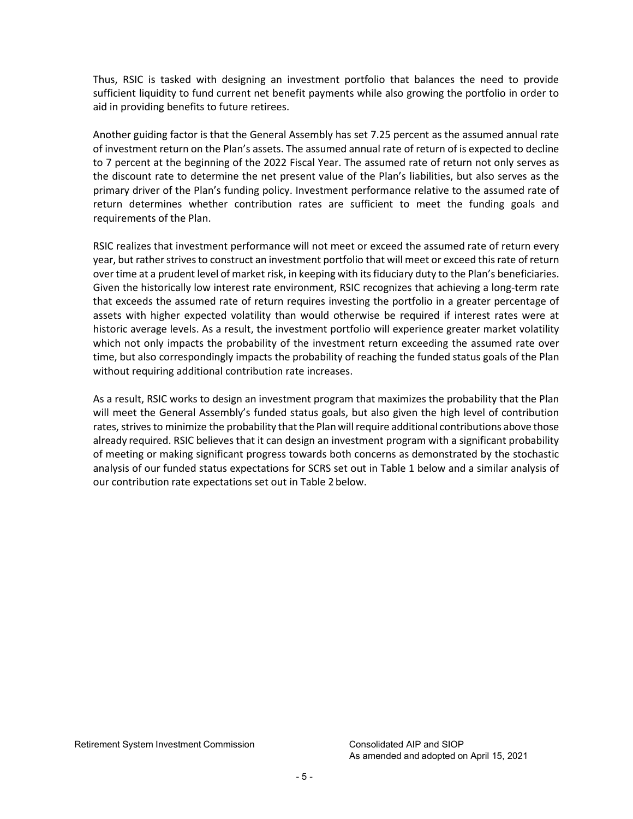Thus, RSIC is tasked with designing an investment portfolio that balances the need to provide sufficient liquidity to fund current net benefit payments while also growing the portfolio in order to aid in providing benefits to future retirees.

Another guiding factor is that the General Assembly has set 7.25 percent as the assumed annual rate of investment return on the Plan's assets. The assumed annual rate of return of is expected to decline to 7 percent at the beginning of the 2022 Fiscal Year. The assumed rate of return not only serves as the discount rate to determine the net present value of the Plan's liabilities, but also serves as the primary driver of the Plan's funding policy. Investment performance relative to the assumed rate of return determines whether contribution rates are sufficient to meet the funding goals and requirements of the Plan.

RSIC realizes that investment performance will not meet or exceed the assumed rate of return every year, but rather strives to construct an investment portfolio that will meet or exceed this rate of return over time at a prudent level of market risk, in keeping with itsfiduciary duty to the Plan's beneficiaries. Given the historically low interest rate environment, RSIC recognizes that achieving a long-term rate that exceeds the assumed rate of return requires investing the portfolio in a greater percentage of assets with higher expected volatility than would otherwise be required if interest rates were at historic average levels. As a result, the investment portfolio will experience greater market volatility which not only impacts the probability of the investment return exceeding the assumed rate over time, but also correspondingly impacts the probability of reaching the funded status goals of the Plan without requiring additional contribution rate increases.

As a result, RSIC works to design an investment program that maximizes the probability that the Plan will meet the General Assembly's funded status goals, but also given the high level of contribution rates, strives to minimize the probability that the Plan will require additional contributions above those already required. RSIC believes that it can design an investment program with a significant probability of meeting or making significant progress towards both concerns as demonstrated by the stochastic analysis of our funded status expectations for SCRS set out in Table 1 below and a similar analysis of our contribution rate expectations set out in Table 2 below.

Retirement System Investment Commission Consolidated AIP and SIOP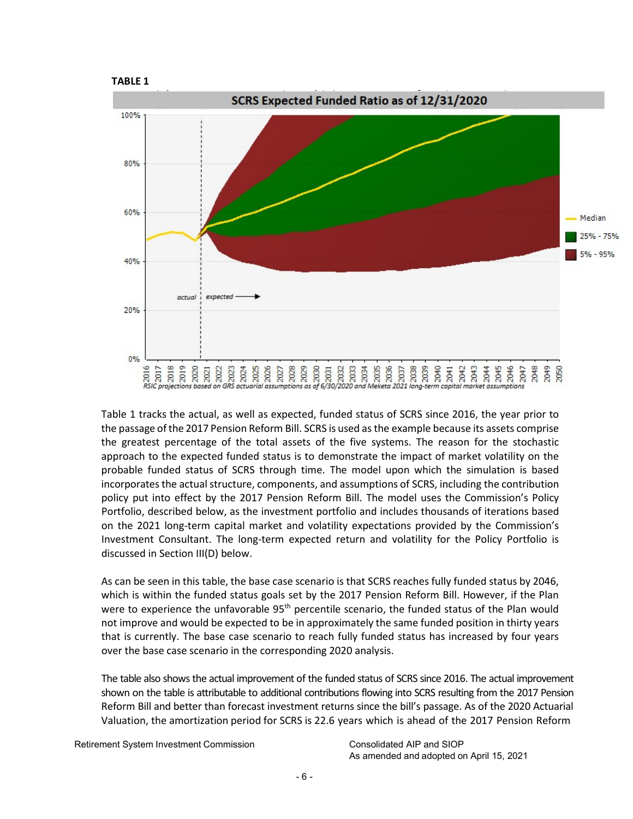



Table 1 tracks the actual, as well as expected, funded status of SCRS since 2016, the year prior to the passage ofthe 2017 Pension Reform Bill. SCRS is used asthe example because its assets comprise the greatest percentage of the total assets of the five systems. The reason for the stochastic approach to the expected funded status is to demonstrate the impact of market volatility on the probable funded status of SCRS through time. The model upon which the simulation is based incorporates the actual structure, components, and assumptions of SCRS, including the contribution policy put into effect by the 2017 Pension Reform Bill. The model uses the Commission's Policy Portfolio, described below, as the investment portfolio and includes thousands of iterations based on the 2021 long-term capital market and volatility expectations provided by the Commission's Investment Consultant. The long-term expected return and volatility for the Policy Portfolio is discussed in Section III(D) below.

As can be seen in this table, the base case scenario is that SCRS reaches fully funded status by 2046, which is within the funded status goals set by the 2017 Pension Reform Bill. However, if the Plan were to experience the unfavorable 95<sup>th</sup> percentile scenario, the funded status of the Plan would not improve and would be expected to be in approximately the same funded position in thirty years that is currently. The base case scenario to reach fully funded status has increased by four years over the base case scenario in the corresponding 2020 analysis.

The table also shows the actual improvement of the funded status of SCRS since 2016. The actual improvement shown on the table is attributable to additional contributions flowing into SCRS resulting from the 2017 Pension Reform Bill and better than forecast investment returns since the bill's passage. As of the 2020 Actuarial Valuation, the amortization period for SCRS is 22.6 years which is ahead of the 2017 Pension Reform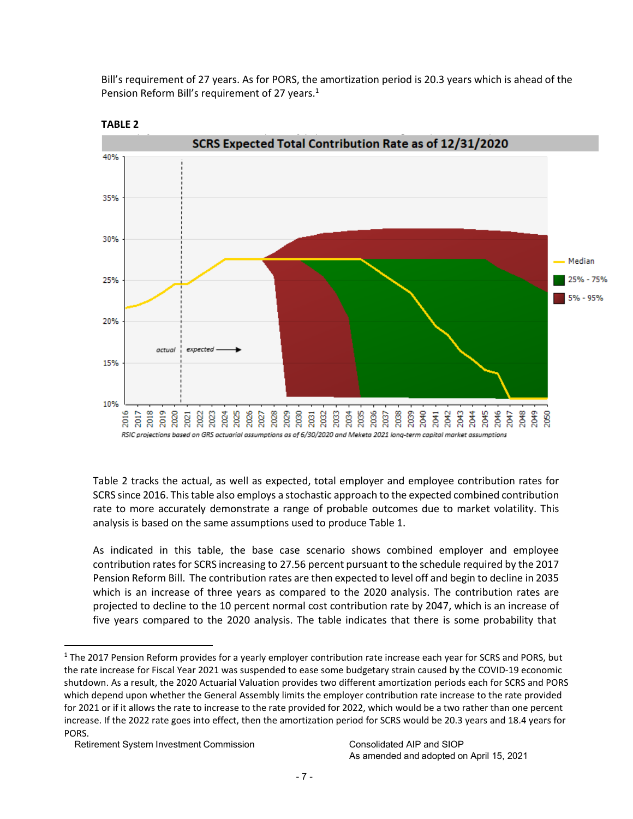Bill's requirement of 27 years. As for PORS, the amortization period is 20.3 years which is ahead of the Pension Reform Bill's requirement of 27 years.<sup>1</sup>



**TABLE 2**

Table 2 tracks the actual, as well as expected, total employer and employee contribution rates for SCRS since 2016. This table also employs a stochastic approach to the expected combined contribution rate to more accurately demonstrate a range of probable outcomes due to market volatility. This analysis is based on the same assumptions used to produce Table 1.

As indicated in this table, the base case scenario shows combined employer and employee contribution rates for SCRS increasing to 27.56 percent pursuant to the schedule required by the 2017 Pension Reform Bill. The contribution rates are then expected to level off and begin to decline in 2035 which is an increase of three years as compared to the 2020 analysis. The contribution rates are projected to decline to the 10 percent normal cost contribution rate by 2047, which is an increase of five years compared to the 2020 analysis. The table indicates that there is some probability that

<span id="page-6-0"></span><sup>&</sup>lt;sup>1</sup> The 2017 Pension Reform provides for a yearly employer contribution rate increase each year for SCRS and PORS, but the rate increase for Fiscal Year 2021 was suspended to ease some budgetary strain caused by the COVID-19 economic shutdown. As a result, the 2020 Actuarial Valuation provides two different amortization periods each for SCRS and PORS which depend upon whether the General Assembly limits the employer contribution rate increase to the rate provided for 2021 or if it allows the rate to increase to the rate provided for 2022, which would be a two rather than one percent increase. If the 2022 rate goes into effect, then the amortization period for SCRS would be 20.3 years and 18.4 years for PORS.

Retirement System Investment Commission Consolidated AIP and SIOP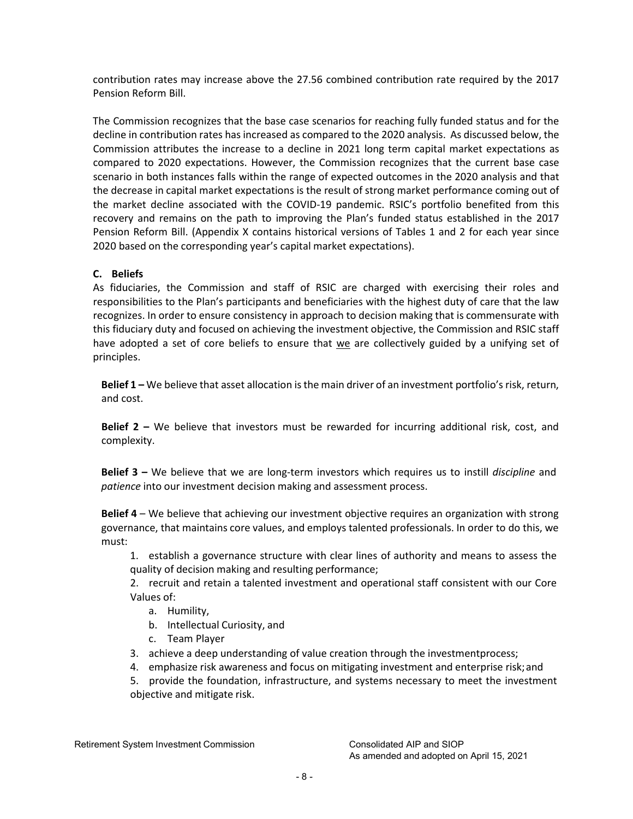contribution rates may increase above the 27.56 combined contribution rate required by the 2017 Pension Reform Bill.

The Commission recognizes that the base case scenarios for reaching fully funded status and for the decline in contribution rates has increased as compared to the 2020 analysis. As discussed below, the Commission attributes the increase to a decline in 2021 long term capital market expectations as compared to 2020 expectations. However, the Commission recognizes that the current base case scenario in both instances falls within the range of expected outcomes in the 2020 analysis and that the decrease in capital market expectations is the result of strong market performance coming out of the market decline associated with the COVID-19 pandemic. RSIC's portfolio benefited from this recovery and remains on the path to improving the Plan's funded status established in the 2017 Pension Reform Bill. (Appendix X contains historical versions of Tables 1 and 2 for each year since 2020 based on the corresponding year's capital market expectations).

# **C. Beliefs**

As fiduciaries, the Commission and staff of RSIC are charged with exercising their roles and responsibilities to the Plan's participants and beneficiaries with the highest duty of care that the law recognizes. In order to ensure consistency in approach to decision making that is commensurate with this fiduciary duty and focused on achieving the investment objective, the Commission and RSIC staff have adopted a set of core beliefs to ensure that we are collectively guided by a unifying set of principles.

**Belief 1 –** We believe that asset allocation isthe main driver of an investment portfolio's risk, return, and cost.

**Belief 2 –** We believe that investors must be rewarded for incurring additional risk, cost, and complexity.

**Belief 3 –** We believe that we are long-term investors which requires us to instill *discipline* and *patience* into our investment decision making and assessment process.

**Belief 4** – We believe that achieving our investment objective requires an organization with strong governance, that maintains core values, and employs talented professionals. In order to do this, we must:

1. establish a governance structure with clear lines of authority and means to assess the quality of decision making and resulting performance;

2. recruit and retain a talented investment and operational staff consistent with our Core Values of:

- a. Humility,
- b. Intellectual Curiosity, and
- c. Team Player
- 3. achieve a deep understanding of value creation through the investmentprocess;
- 4. emphasize risk awareness and focus on mitigating investment and enterprise risk;and
- 5. provide the foundation, infrastructure, and systems necessary to meet the investment objective and mitigate risk.

Retirement System Investment Commission Consolidated AIP and SIOP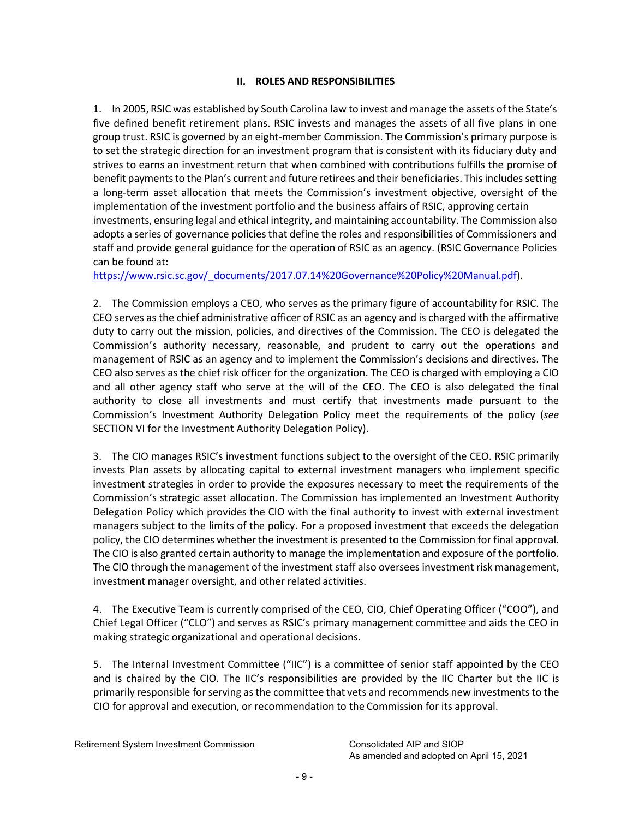# **II. ROLES AND RESPONSIBILITIES**

<span id="page-8-0"></span>1. In 2005, RSIC was established by South Carolina law to invest and manage the assets of the State's five defined benefit retirement plans. RSIC invests and manages the assets of all five plans in one group trust. RSIC is governed by an eight-member Commission. The Commission's primary purpose is to set the strategic direction for an investment program that is consistent with its fiduciary duty and strives to earns an investment return that when combined with contributions fulfills the promise of benefit payments to the Plan's current and future retirees and their beneficiaries. This includes setting a long-term asset allocation that meets the Commission's investment objective, oversight of the implementation of the investment portfolio and the business affairs of RSIC, approving certain investments, ensuring legal and ethical integrity, and maintaining accountability. The Commission also adopts a series of governance policies that define the roles and responsibilities of Commissioners and staff and provide general guidance for the operation of RSIC as an agency. (RSIC Governance Policies can be found at:

[https://www.rsic.sc.gov/\\_documents/2017.07.14%20Governance%20Policy%20Manual.pdf\)](https://www.rsic.sc.gov/_documents/2017.07.14%20Governance%20Policy%20Manual.pdf).

2. The Commission employs a CEO, who serves as the primary figure of accountability for RSIC. The CEO serves as the chief administrative officer of RSIC as an agency and is charged with the affirmative duty to carry out the mission, policies, and directives of the Commission. The CEO is delegated the Commission's authority necessary, reasonable, and prudent to carry out the operations and management of RSIC as an agency and to implement the Commission's decisions and directives. The CEO also serves as the chief risk officer for the organization. The CEO is charged with employing a CIO and all other agency staff who serve at the will of the CEO. The CEO is also delegated the final authority to close all investments and must certify that investments made pursuant to the Commission's Investment Authority Delegation Policy meet the requirements of the policy (*see* SECTION VI for the Investment Authority Delegation Policy).

3. The CIO manages RSIC's investment functions subject to the oversight of the CEO. RSIC primarily invests Plan assets by allocating capital to external investment managers who implement specific investment strategies in order to provide the exposures necessary to meet the requirements of the Commission's strategic asset allocation. The Commission has implemented an Investment Authority Delegation Policy which provides the CIO with the final authority to invest with external investment managers subject to the limits of the policy. For a proposed investment that exceeds the delegation policy, the CIO determines whether the investment is presented to the Commission for final approval. The CIO is also granted certain authority to manage the implementation and exposure of the portfolio. The CIO through the management of the investment staff also oversees investment risk management, investment manager oversight, and other related activities.

4. The Executive Team is currently comprised of the CEO, CIO, Chief Operating Officer ("COO"), and Chief Legal Officer ("CLO") and serves as RSIC's primary management committee and aids the CEO in making strategic organizational and operational decisions.

5. The Internal Investment Committee ("IIC") is a committee of senior staff appointed by the CEO and is chaired by the CIO. The IIC's responsibilities are provided by the IIC Charter but the IIC is primarily responsible for serving as the committee that vets and recommends new investments to the CIO for approval and execution, or recommendation to the Commission for its approval.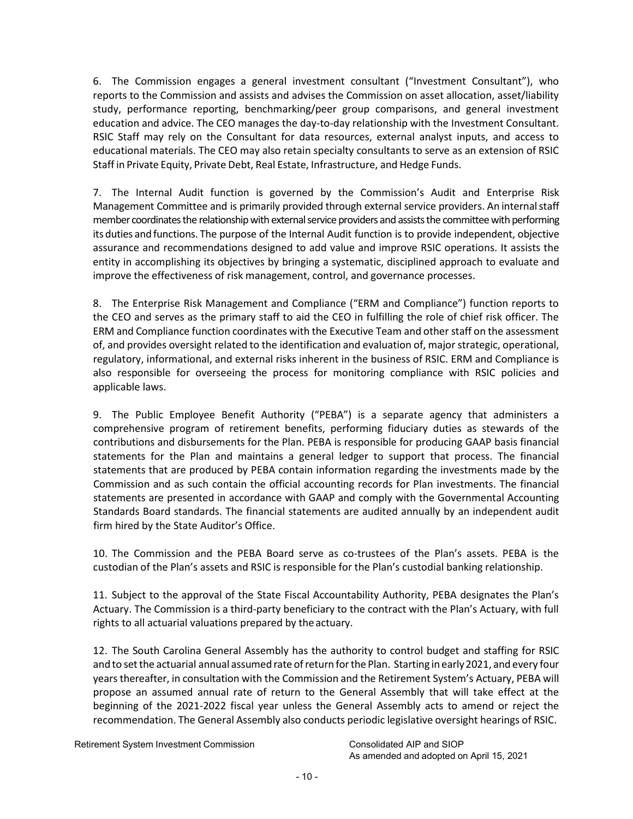6. The Commission engages a general investment consultant ("Investment Consultant"), who reports to the Commission and assists and advises the Commission on asset allocation, asset/liability study, performance reporting, benchmarking/peer group comparisons, and general investment education and advice. The CEO manages the day-to-day relationship with the Investment Consultant. RSIC Staff may rely on the Consultant for data resources, external analyst inputs, and access to educational materials. The CEO may also retain specialty consultants to serve as an extension of RSIC Staff in Private Equity, Private Debt, Real Estate, Infrastructure, and Hedge Funds.

7. The Internal Audit function is governed by the Commission's Audit and Enterprise Risk Management Committee and is primarily provided through external service providers. An internalstaff member coordinates the relationship with external service providers and assists the committee with performing its duties and functions. The purpose of the Internal Audit function is to provide independent, objective assurance and recommendations designed to add value and improve RSIC operations. It assists the entity in accomplishing its objectives by bringing a systematic, disciplined approach to evaluate and improve the effectiveness of risk management, control, and governance processes.

8. The Enterprise Risk Management and Compliance ("ERM and Compliance") function reports to the CEO and serves as the primary staff to aid the CEO in fulfilling the role of chief risk officer. The ERM and Compliance function coordinates with the Executive Team and otherstaff on the assessment of, and provides oversight related to the identification and evaluation of, major strategic, operational, regulatory, informational, and external risks inherent in the business of RSIC. ERM and Compliance is also responsible for overseeing the process for monitoring compliance with RSIC policies and applicable laws.

9. The Public Employee Benefit Authority ("PEBA") is a separate agency that administers a comprehensive program of retirement benefits, performing fiduciary duties as stewards of the contributions and disbursements for the Plan. PEBA is responsible for producing GAAP basis financial statements for the Plan and maintains a general ledger to support that process. The financial statements that are produced by PEBA contain information regarding the investments made by the Commission and as such contain the official accounting records for Plan investments. The financial statements are presented in accordance with GAAP and comply with the Governmental Accounting Standards Board standards. The financial statements are audited annually by an independent audit firm hired by the State Auditor's Office.

10. The Commission and the PEBA Board serve as co-trustees of the Plan's assets. PEBA is the custodian of the Plan's assets and RSIC is responsible for the Plan's custodial banking relationship.

11. Subject to the approval of the State Fiscal Accountability Authority, PEBA designates the Plan's Actuary. The Commission is a third-party beneficiary to the contract with the Plan's Actuary, with full rights to all actuarial valuations prepared by the actuary.

12. The South Carolina General Assembly has the authority to control budget and staffing for RSIC and to set the actuarial annual assumed rate of return for the Plan. Starting in early 2021, and every four years thereafter, in consultation with the Commission and the Retirement System's Actuary, PEBA will propose an assumed annual rate of return to the General Assembly that will take effect at the beginning of the 2021-2022 fiscal year unless the General Assembly acts to amend or reject the recommendation. The General Assembly also conducts periodic legislative oversight hearings of RSIC.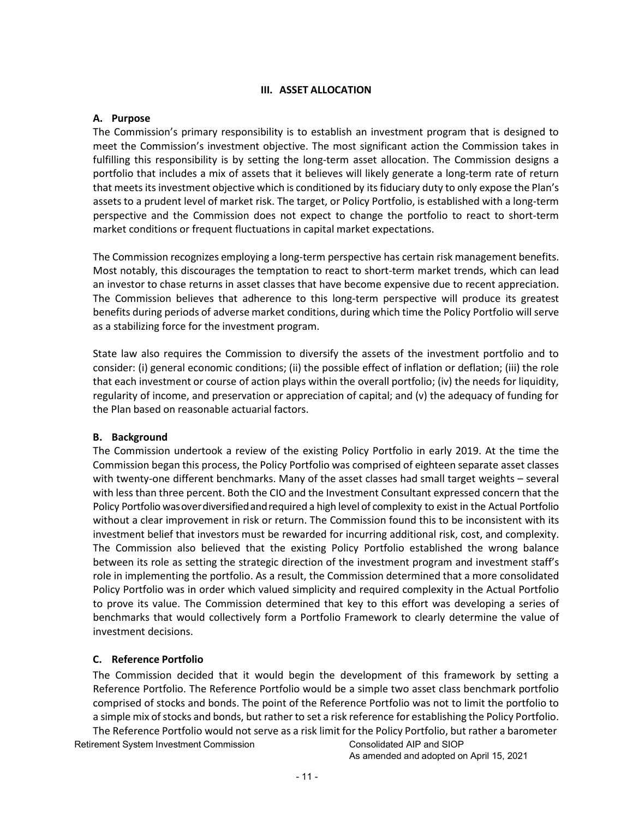# **III. ASSET ALLOCATION**

#### <span id="page-10-0"></span>**A. Purpose**

The Commission's primary responsibility is to establish an investment program that is designed to meet the Commission's investment objective. The most significant action the Commission takes in fulfilling this responsibility is by setting the long-term asset allocation. The Commission designs a portfolio that includes a mix of assets that it believes will likely generate a long-term rate of return that meets its investment objective which is conditioned by its fiduciary duty to only expose the Plan's assets to a prudent level of market risk. The target, or Policy Portfolio, is established with a long-term perspective and the Commission does not expect to change the portfolio to react to short-term market conditions or frequent fluctuations in capital market expectations.

The Commission recognizes employing a long-term perspective has certain risk management benefits. Most notably, this discourages the temptation to react to short-term market trends, which can lead an investor to chase returns in asset classes that have become expensive due to recent appreciation. The Commission believes that adherence to this long-term perspective will produce its greatest benefits during periods of adverse market conditions, during which time the Policy Portfolio will serve as a stabilizing force for the investment program.

State law also requires the Commission to diversify the assets of the investment portfolio and to consider: (i) general economic conditions; (ii) the possible effect of inflation or deflation; (iii) the role that each investment or course of action plays within the overall portfolio; (iv) the needs for liquidity, regularity of income, and preservation or appreciation of capital; and (v) the adequacy of funding for the Plan based on reasonable actuarial factors.

# **B. Background**

The Commission undertook a review of the existing Policy Portfolio in early 2019. At the time the Commission began this process, the Policy Portfolio was comprised of eighteen separate asset classes with twenty-one different benchmarks. Many of the asset classes had small target weights – several with less than three percent. Both the CIO and the Investment Consultant expressed concern that the Policy Portfolio was over diversified and required a high level of complexity to exist in the Actual Portfolio without a clear improvement in risk or return. The Commission found this to be inconsistent with its investment belief that investors must be rewarded for incurring additional risk, cost, and complexity. The Commission also believed that the existing Policy Portfolio established the wrong balance between its role as setting the strategic direction of the investment program and investment staff's role in implementing the portfolio. As a result, the Commission determined that a more consolidated Policy Portfolio was in order which valued simplicity and required complexity in the Actual Portfolio to prove its value. The Commission determined that key to this effort was developing a series of benchmarks that would collectively form a Portfolio Framework to clearly determine the value of investment decisions.

# **C. Reference Portfolio**

The Commission decided that it would begin the development of this framework by setting a Reference Portfolio. The Reference Portfolio would be a simple two asset class benchmark portfolio comprised of stocks and bonds. The point of the Reference Portfolio was not to limit the portfolio to a simple mix of stocks and bonds, but rather to set a risk reference for establishing the Policy Portfolio. The Reference Portfolio would not serve as a risk limit for the Policy Portfolio, but rather a barometer

Retirement System Investment Commission Consolidated AIP and SIOP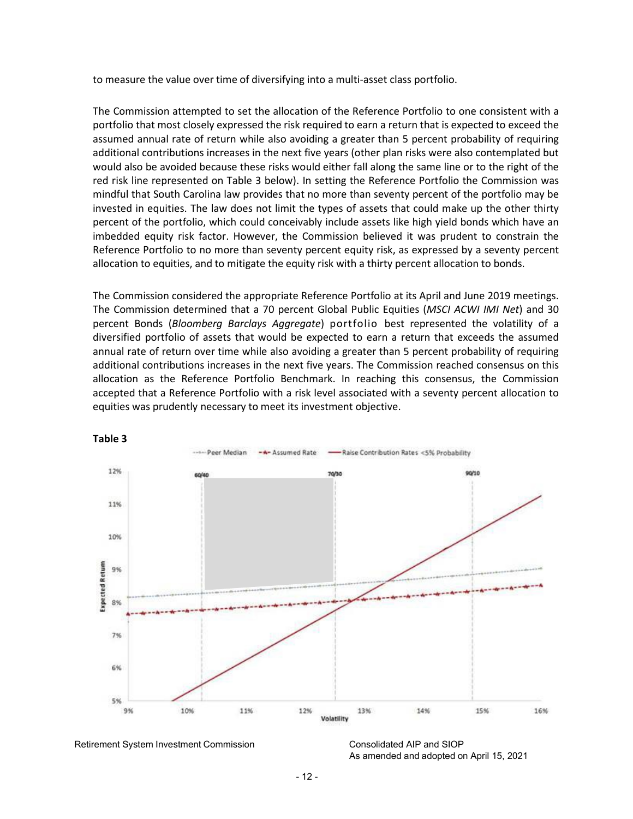to measure the value over time of diversifying into a multi-asset class portfolio.

The Commission attempted to set the allocation of the Reference Portfolio to one consistent with a portfolio that most closely expressed the risk required to earn a return that is expected to exceed the assumed annual rate of return while also avoiding a greater than 5 percent probability of requiring additional contributions increases in the next five years (other plan risks were also contemplated but would also be avoided because these risks would either fall along the same line or to the right of the red risk line represented on Table 3 below). In setting the Reference Portfolio the Commission was mindful that South Carolina law provides that no more than seventy percent of the portfolio may be invested in equities. The law does not limit the types of assets that could make up the other thirty percent of the portfolio, which could conceivably include assets like high yield bonds which have an imbedded equity risk factor. However, the Commission believed it was prudent to constrain the Reference Portfolio to no more than seventy percent equity risk, as expressed by a seventy percent allocation to equities, and to mitigate the equity risk with a thirty percent allocation to bonds.

The Commission considered the appropriate Reference Portfolio at its April and June 2019 meetings. The Commission determined that a 70 percent Global Public Equities (*MSCI ACWI IMI Net*) and 30 percent Bonds (*Bloomberg Barclays Aggregate*) portfolio best represented the volatility of a diversified portfolio of assets that would be expected to earn a return that exceeds the assumed annual rate of return over time while also avoiding a greater than 5 percent probability of requiring additional contributions increases in the next five years. The Commission reached consensus on this allocation as the Reference Portfolio Benchmark. In reaching this consensus, the Commission accepted that a Reference Portfolio with a risk level associated with a seventy percent allocation to equities was prudently necessary to meet its investment objective.



#### **Table 3**

Retirement System Investment Commission Consolidated AIP and SIOP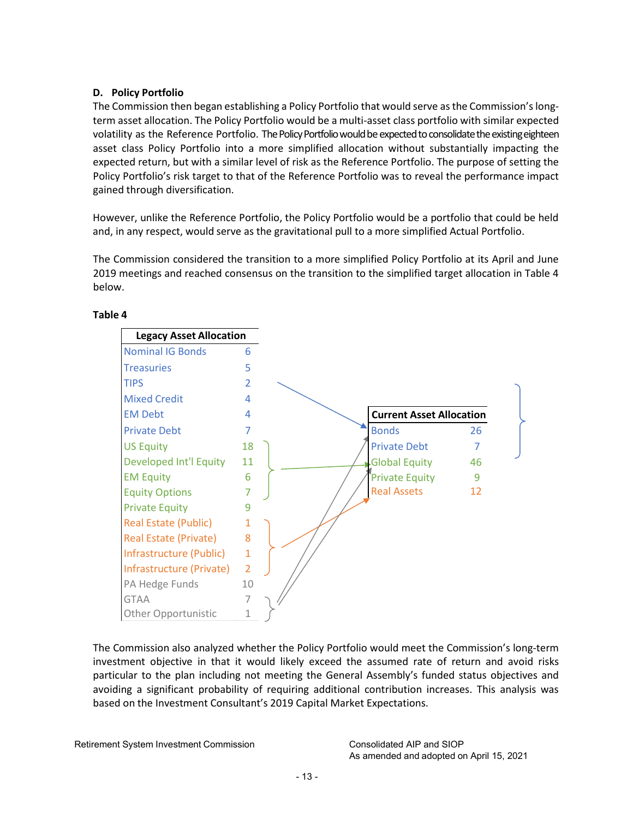# **D. Policy Portfolio**

The Commission then began establishing a Policy Portfolio that would serve as the Commission's longterm asset allocation. The Policy Portfolio would be a multi-asset class portfolio with similar expected volatility as the Reference Portfolio. The Policy Portfolio would be expected to consolidate the existing eighteen asset class Policy Portfolio into a more simplified allocation without substantially impacting the expected return, but with a similar level of risk as the Reference Portfolio. The purpose of setting the Policy Portfolio's risk target to that of the Reference Portfolio was to reveal the performance impact gained through diversification.

However, unlike the Reference Portfolio, the Policy Portfolio would be a portfolio that could be held and, in any respect, would serve as the gravitational pull to a more simplified Actual Portfolio.

The Commission considered the transition to a more simplified Policy Portfolio at its April and June 2019 meetings and reached consensus on the transition to the simplified target allocation in Table 4 below.



# **Table 4**

The Commission also analyzed whether the Policy Portfolio would meet the Commission's long-term investment objective in that it would likely exceed the assumed rate of return and avoid risks particular to the plan including not meeting the General Assembly's funded status objectives and avoiding a significant probability of requiring additional contribution increases. This analysis was based on the Investment Consultant's 2019 Capital Market Expectations.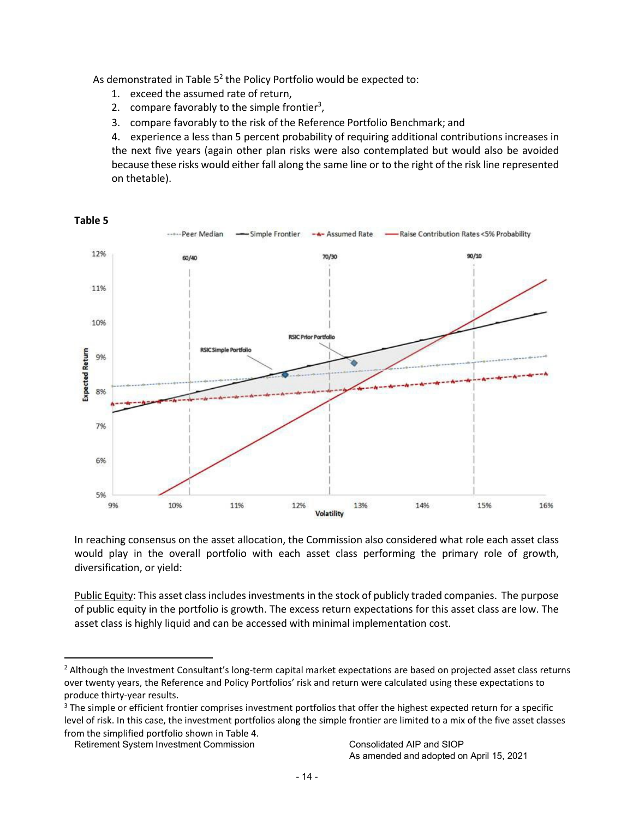As demonstrated in Table  $5<sup>2</sup>$  the Policy Portfolio would be expected to:

- 1. exceed the assumed rate of return,
- 2. compare favorably to the simple frontier<sup>3</sup>,
- 3. compare favorably to the risk of the Reference Portfolio Benchmark; and

4. experience a less than 5 percent probability of requiring additional contributions increases in the next five years (again other plan risks were also contemplated but would also be avoided because these risks would either fall along the same line or to the right of the risk line represented on thetable).



In reaching consensus on the asset allocation, the Commission also considered what role each asset class would play in the overall portfolio with each asset class performing the primary role of growth, diversification, or yield:

Public Equity: This asset class includes investments in the stock of publicly traded companies. The purpose of public equity in the portfolio is growth. The excess return expectations for this asset class are low. The asset class is highly liquid and can be accessed with minimal implementation cost.

<sup>&</sup>lt;sup>2</sup> Although the Investment Consultant's long-term capital market expectations are based on projected asset class returns over twenty years, the Reference and Policy Portfolios' risk and return were calculated using these expectations to produce thirty-year results.

<sup>&</sup>lt;sup>3</sup> The simple or efficient frontier comprises investment portfolios that offer the highest expected return for a specific level of risk. In this case, the investment portfolios along the simple frontier are limited to a mix of the five asset classes from the simplified portfolio shown in Table 4.

Retirement System Investment Commission Consolidated AIP and SIOP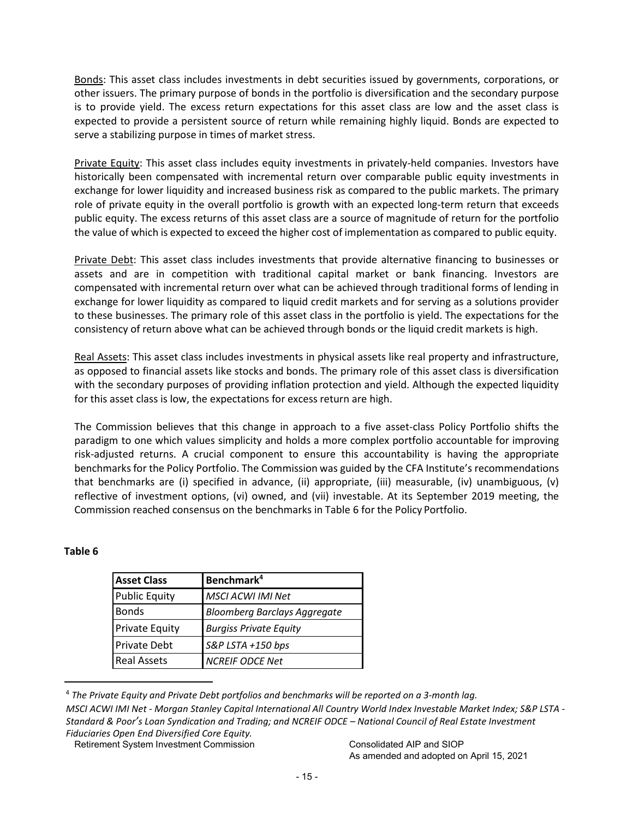Bonds: This asset class includes investments in debt securities issued by governments, corporations, or other issuers. The primary purpose of bonds in the portfolio is diversification and the secondary purpose is to provide yield. The excess return expectations for this asset class are low and the asset class is expected to provide a persistent source of return while remaining highly liquid. Bonds are expected to serve a stabilizing purpose in times of market stress.

Private Equity: This asset class includes equity investments in privately-held companies. Investors have historically been compensated with incremental return over comparable public equity investments in exchange for lower liquidity and increased business risk as compared to the public markets. The primary role of private equity in the overall portfolio is growth with an expected long-term return that exceeds public equity. The excess returns of this asset class are a source of magnitude of return for the portfolio the value of which is expected to exceed the higher cost of implementation as compared to public equity.

Private Debt: This asset class includes investments that provide alternative financing to businesses or assets and are in competition with traditional capital market or bank financing. Investors are compensated with incremental return over what can be achieved through traditional forms of lending in exchange for lower liquidity as compared to liquid credit markets and for serving as a solutions provider to these businesses. The primary role of this asset class in the portfolio is yield. The expectations for the consistency of return above what can be achieved through bonds or the liquid credit markets is high.

Real Assets: This asset class includes investments in physical assets like real property and infrastructure, as opposed to financial assets like stocks and bonds. The primary role of this asset class is diversification with the secondary purposes of providing inflation protection and yield. Although the expected liquidity for this asset class is low, the expectations for excess return are high.

The Commission believes that this change in approach to a five asset-class Policy Portfolio shifts the paradigm to one which values simplicity and holds a more complex portfolio accountable for improving risk-adjusted returns. A crucial component to ensure this accountability is having the appropriate benchmarks for the Policy Portfolio. The Commission was guided by the CFA Institute's recommendations that benchmarks are (i) specified in advance, (ii) appropriate, (iii) measurable, (iv) unambiguous, (v) reflective of investment options, (vi) owned, and (vii) investable. At its September 2019 meeting, the Commission reached consensus on the benchmarks in Table 6 for the Policy Portfolio.

# **Table 6**

| <b>Asset Class</b>    | Benchmark <sup>4</sup>              |
|-----------------------|-------------------------------------|
| <b>Public Equity</b>  | <b>MSCI ACWI IMI Net</b>            |
| <b>Bonds</b>          | <b>Bloomberg Barclays Aggregate</b> |
| <b>Private Equity</b> | <b>Burgiss Private Equity</b>       |
| Private Debt          | S&P LSTA +150 bps                   |
| <b>Real Assets</b>    | <b>NCREIF ODCE Net</b>              |

<sup>4</sup> *The Private Equity and Private Debt portfolios and benchmarks will be reported on a 3-month lag. MSCI ACWI IMI Net - Morgan Stanley Capital International All Country World Index Investable Market Index; S&P LSTA - Standard & Poor's Loan Syndication and Trading; and NCREIF ODCE – National Council of Real Estate Investment Fiduciaries Open End Diversified Core Equity.*

Retirement System Investment Commission Consolidated AIP and SIOP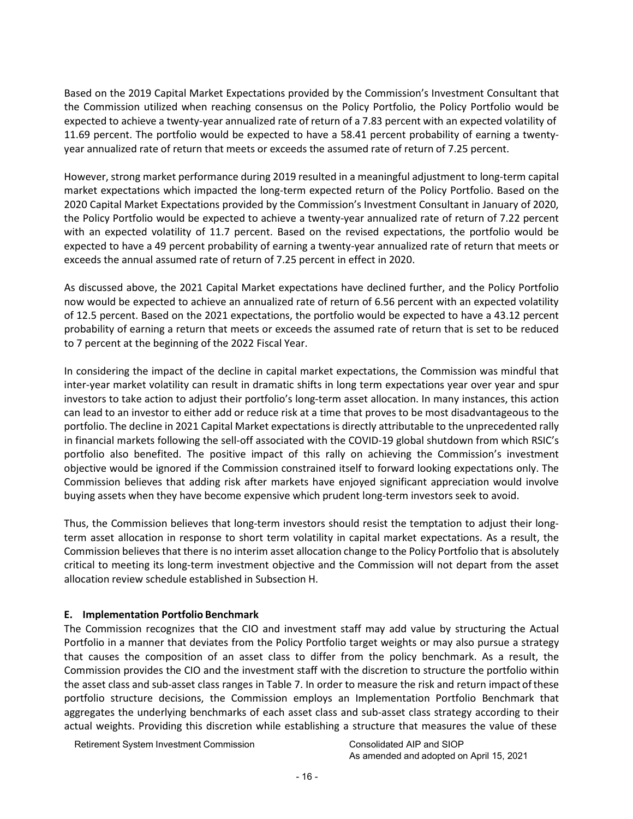Based on the 2019 Capital Market Expectations provided by the Commission's Investment Consultant that the Commission utilized when reaching consensus on the Policy Portfolio, the Policy Portfolio would be expected to achieve a twenty-year annualized rate of return of a 7.83 percent with an expected volatility of 11.69 percent. The portfolio would be expected to have a 58.41 percent probability of earning a twentyyear annualized rate of return that meets or exceeds the assumed rate of return of 7.25 percent.

However, strong market performance during 2019 resulted in a meaningful adjustment to long-term capital market expectations which impacted the long-term expected return of the Policy Portfolio. Based on the 2020 Capital Market Expectations provided by the Commission's Investment Consultant in January of 2020, the Policy Portfolio would be expected to achieve a twenty-year annualized rate of return of 7.22 percent with an expected volatility of 11.7 percent. Based on the revised expectations, the portfolio would be expected to have a 49 percent probability of earning a twenty-year annualized rate of return that meets or exceeds the annual assumed rate of return of 7.25 percent in effect in 2020.

As discussed above, the 2021 Capital Market expectations have declined further, and the Policy Portfolio now would be expected to achieve an annualized rate of return of 6.56 percent with an expected volatility of 12.5 percent. Based on the 2021 expectations, the portfolio would be expected to have a 43.12 percent probability of earning a return that meets or exceeds the assumed rate of return that is set to be reduced to 7 percent at the beginning of the 2022 Fiscal Year.

In considering the impact of the decline in capital market expectations, the Commission was mindful that inter-year market volatility can result in dramatic shifts in long term expectations year over year and spur investors to take action to adjust their portfolio's long-term asset allocation. In many instances, this action can lead to an investor to either add or reduce risk at a time that proves to be most disadvantageous to the portfolio. The decline in 2021 Capital Market expectations is directly attributable to the unprecedented rally in financial markets following the sell-off associated with the COVID-19 global shutdown from which RSIC's portfolio also benefited. The positive impact of this rally on achieving the Commission's investment objective would be ignored if the Commission constrained itself to forward looking expectations only. The Commission believes that adding risk after markets have enjoyed significant appreciation would involve buying assets when they have become expensive which prudent long-term investors seek to avoid.

Thus, the Commission believes that long-term investors should resist the temptation to adjust their longterm asset allocation in response to short term volatility in capital market expectations. As a result, the Commission believes that there is no interim asset allocation change to the Policy Portfolio that is absolutely critical to meeting its long-term investment objective and the Commission will not depart from the asset allocation review schedule established in Subsection H.

#### **E. Implementation Portfolio Benchmark**

<span id="page-15-0"></span>The Commission recognizes that the CIO and investment staff may add value by structuring the Actual Portfolio in a manner that deviates from the Policy Portfolio target weights or may also pursue a strategy that causes the composition of an asset class to differ from the policy benchmark. As a result, the Commission provides the CIO and the investment staff with the discretion to structure the portfolio within the asset class and sub-asset class ranges in Table 7. In order to measure the risk and return impact ofthese portfolio structure decisions, the Commission employs an Implementation Portfolio Benchmark that aggregates the underlying benchmarks of each asset class and sub-asset class strategy according to their actual weights. Providing this discretion while establishing a structure that measures the value of these

<span id="page-15-1"></span>Retirement System Investment Commission Consolidated AIP and SIOP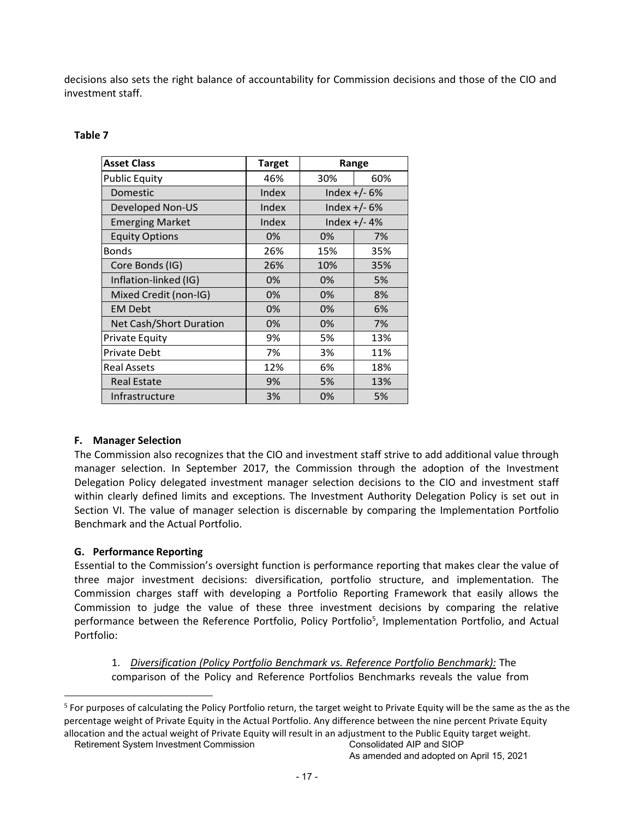decisions also sets the right balance of accountability for Commission decisions and those of the CIO and investment staff.

# **Table 7**

| <b>Asset Class</b>             | <b>Target</b><br>Range |                |                |
|--------------------------------|------------------------|----------------|----------------|
| <b>Public Equity</b>           | 46%                    | 30%            | 60%            |
| Domestic                       | Index                  | Index $+/- 6%$ |                |
| Developed Non-US               | Index                  | Index $+/- 6%$ |                |
| <b>Emerging Market</b>         | Index                  |                | Index $+/- 4%$ |
| <b>Equity Options</b>          | 0%                     | 0%             | 7%             |
| <b>Bonds</b>                   | 26%                    | 15%            | 35%            |
| Core Bonds (IG)                | 26%                    | 10%            | 35%            |
| Inflation-linked (IG)          | 0%                     | 0%             | 5%             |
| Mixed Credit (non-IG)          | 0%                     | 0%             | 8%             |
| <b>EM Debt</b>                 | 0%                     | 0%             | 6%             |
| <b>Net Cash/Short Duration</b> | 0%                     | 0%             | 7%             |
| <b>Private Equity</b>          | 9%                     | 5%             | 13%            |
| <b>Private Debt</b>            | 7%                     | 3%             | 11%            |
| <b>Real Assets</b>             | 12%                    | 6%             | 18%            |
| <b>Real Estate</b>             | 9%                     | 5%             | 13%            |
| Infrastructure                 | 3%                     | 0%             | 5%             |

# **F. Manager Selection**

The Commission also recognizes that the CIO and investment staff strive to add additional value through manager selection. In September 2017, the Commission through the adoption of the Investment Delegation Policy delegated investment manager selection decisions to the CIO and investment staff within clearly defined limits and exceptions. The Investment Authority Delegation Policy is set out in Section VI. The value of manager selection is discernable by comparing the Implementation Portfolio Benchmark and the Actual Portfolio.

# **G. Performance Reporting**

Essential to the Commission's oversight function is performance reporting that makes clear the value of three major investment decisions: diversification, portfolio structure, and implementation. The Commission charges staff with developing a Portfolio Reporting Framework that easily allows the Commission to judge the value of these three investment decisions by comparing the relative performance between the Reference Portfolio, Policy Portfolio<sup>5</sup>, Implementation Portfolio, and Actual Portfolio:

1. *Diversification (Policy Portfolio Benchmark vs. Reference Portfolio Benchmark):* The comparison of the Policy and Reference Portfolios Benchmarks reveals the value from

<sup>&</sup>lt;sup>5</sup> For purposes of calculating the Policy Portfolio return, the target weight to Private Equity will be the same as the as the percentage weight of Private Equity in the Actual Portfolio. Any difference between the nine percent Private Equity allocation and the actual weight of Private Equity will result in an adjustment to the Public Equity target weight.

Retirement System Investment Commission Consolidated AIP and SIOP

As amended and adopted on April 15, 2021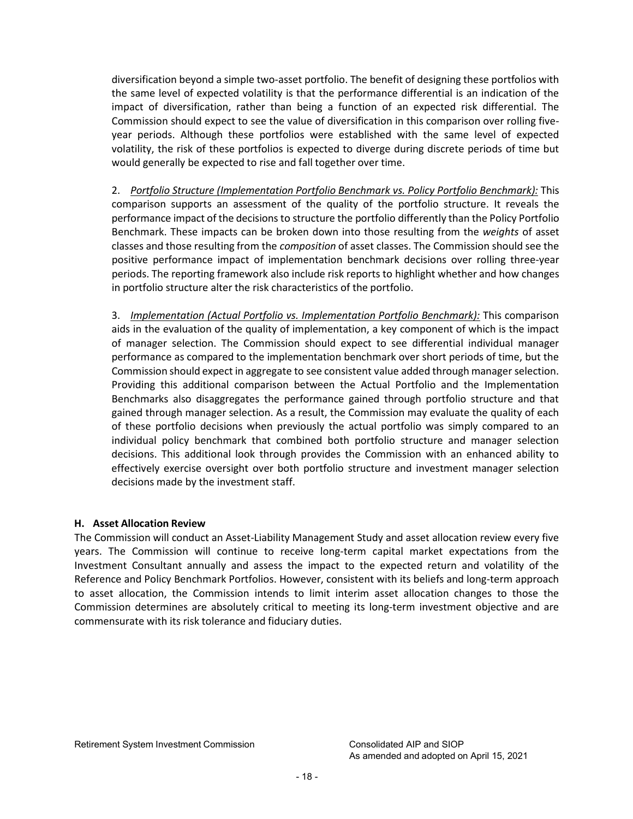diversification beyond a simple two-asset portfolio. The benefit of designing these portfolios with the same level of expected volatility is that the performance differential is an indication of the impact of diversification, rather than being a function of an expected risk differential. The Commission should expect to see the value of diversification in this comparison over rolling fiveyear periods. Although these portfolios were established with the same level of expected volatility, the risk of these portfolios is expected to diverge during discrete periods of time but would generally be expected to rise and fall together over time.

2. *Portfolio Structure (Implementation Portfolio Benchmark vs. Policy Portfolio Benchmark):* This comparison supports an assessment of the quality of the portfolio structure. It reveals the performance impact of the decisions to structure the portfolio differently than the Policy Portfolio Benchmark. These impacts can be broken down into those resulting from the *weights* of asset classes and those resulting from the *composition* of asset classes. The Commission should see the positive performance impact of implementation benchmark decisions over rolling three-year periods. The reporting framework also include risk reports to highlight whether and how changes in portfolio structure alter the risk characteristics of the portfolio.

3. *Implementation (Actual Portfolio vs. Implementation Portfolio Benchmark):* This comparison aids in the evaluation of the quality of implementation, a key component of which is the impact of manager selection. The Commission should expect to see differential individual manager performance as compared to the implementation benchmark over short periods of time, but the Commission should expect in aggregate to see consistent value added through managerselection. Providing this additional comparison between the Actual Portfolio and the Implementation Benchmarks also disaggregates the performance gained through portfolio structure and that gained through manager selection. As a result, the Commission may evaluate the quality of each of these portfolio decisions when previously the actual portfolio was simply compared to an individual policy benchmark that combined both portfolio structure and manager selection decisions. This additional look through provides the Commission with an enhanced ability to effectively exercise oversight over both portfolio structure and investment manager selection decisions made by the investment staff.

# **H. Asset Allocation Review**

The Commission will conduct an Asset-Liability Management Study and asset allocation review every five years. The Commission will continue to receive long-term capital market expectations from the Investment Consultant annually and assess the impact to the expected return and volatility of the Reference and Policy Benchmark Portfolios. However, consistent with its beliefs and long-term approach to asset allocation, the Commission intends to limit interim asset allocation changes to those the Commission determines are absolutely critical to meeting its long-term investment objective and are commensurate with its risk tolerance and fiduciary duties.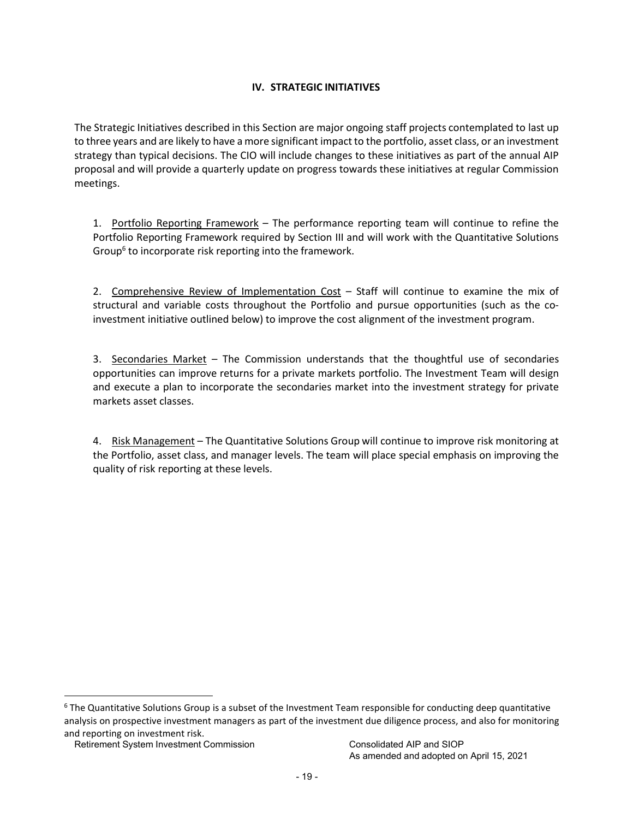# **IV. STRATEGIC INITIATIVES**

<span id="page-18-0"></span>The Strategic Initiatives described in this Section are major ongoing staff projects contemplated to last up to three years and are likely to have a more significant impact to the portfolio, asset class, or an investment strategy than typical decisions. The CIO will include changes to these initiatives as part of the annual AIP proposal and will provide a quarterly update on progress towards these initiatives at regular Commission meetings.

1. Portfolio Reporting Framework – The performance reporting team will continue to refine the Portfolio Reporting Framework required by Section III and will work with the Quantitative Solutions Group<sup>6</sup> to incorporate risk reporting into the framework.

2. Comprehensive Review of Implementation Cost – Staff will continue to examine the mix of structural and variable costs throughout the Portfolio and pursue opportunities (such as the coinvestment initiative outlined below) to improve the cost alignment of the investment program.

3. Secondaries Market – The Commission understands that the thoughtful use of secondaries opportunities can improve returns for a private markets portfolio. The Investment Team will design and execute a plan to incorporate the secondaries market into the investment strategy for private markets asset classes.

4. Risk Management – The Quantitative Solutions Group will continue to improve risk monitoring at the Portfolio, asset class, and manager levels. The team will place special emphasis on improving the quality of risk reporting at these levels.

<span id="page-18-1"></span><sup>&</sup>lt;sup>6</sup> The Quantitative Solutions Group is a subset of the Investment Team responsible for conducting deep quantitative analysis on prospective investment managers as part of the investment due diligence process, and also for monitoring and reporting on investment risk.

Retirement System Investment Commission Consolidated AIP and SIOP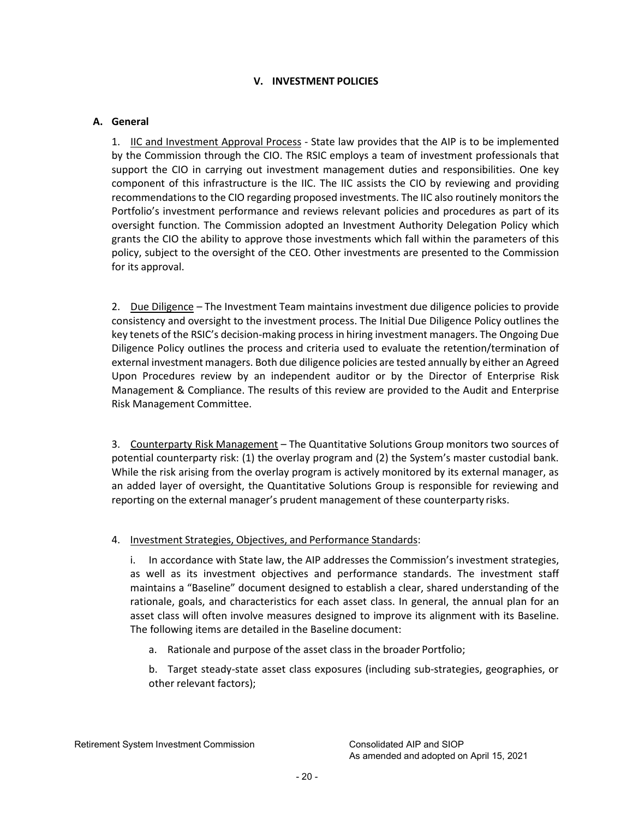# **V. INVESTMENT POLICIES**

# <span id="page-19-0"></span>**A. General**

1. IIC and Investment Approval Process - State law provides that the AIP is to be implemented by the Commission through the CIO. The RSIC employs a team of investment professionals that support the CIO in carrying out investment management duties and responsibilities. One key component of this infrastructure is the IIC. The IIC assists the CIO by reviewing and providing recommendations to the CIO regarding proposed investments. The IIC also routinely monitors the Portfolio's investment performance and reviews relevant policies and procedures as part of its oversight function. The Commission adopted an Investment Authority Delegation Policy which grants the CIO the ability to approve those investments which fall within the parameters of this policy, subject to the oversight of the CEO. Other investments are presented to the Commission for its approval.

2. Due Diligence – The Investment Team maintains investment due diligence policies to provide consistency and oversight to the investment process. The Initial Due Diligence Policy outlines the key tenets of the RSIC's decision-making process in hiring investment managers. The Ongoing Due Diligence Policy outlines the process and criteria used to evaluate the retention/termination of external investment managers. Both due diligence policies are tested annually by either an Agreed Upon Procedures review by an independent auditor or by the Director of Enterprise Risk Management & Compliance. The results of this review are provided to the Audit and Enterprise Risk Management Committee.

3. Counterparty Risk Management – The Quantitative Solutions Group monitors two sources of potential counterparty risk: (1) the overlay program and (2) the System's master custodial bank. While the risk arising from the overlay program is actively monitored by its external manager, as an added layer of oversight, the Quantitative Solutions Group is responsible for reviewing and reporting on the external manager's prudent management of these counterparty risks.

# 4. Investment Strategies, Objectives, and Performance Standards:

i. In accordance with State law, the AIP addresses the Commission's investment strategies, as well as its investment objectives and performance standards. The investment staff maintains a "Baseline" document designed to establish a clear, shared understanding of the rationale, goals, and characteristics for each asset class. In general, the annual plan for an asset class will often involve measures designed to improve its alignment with its Baseline. The following items are detailed in the Baseline document:

a. Rationale and purpose of the asset class in the broader Portfolio;

b. Target steady-state asset class exposures (including sub-strategies, geographies, or other relevant factors);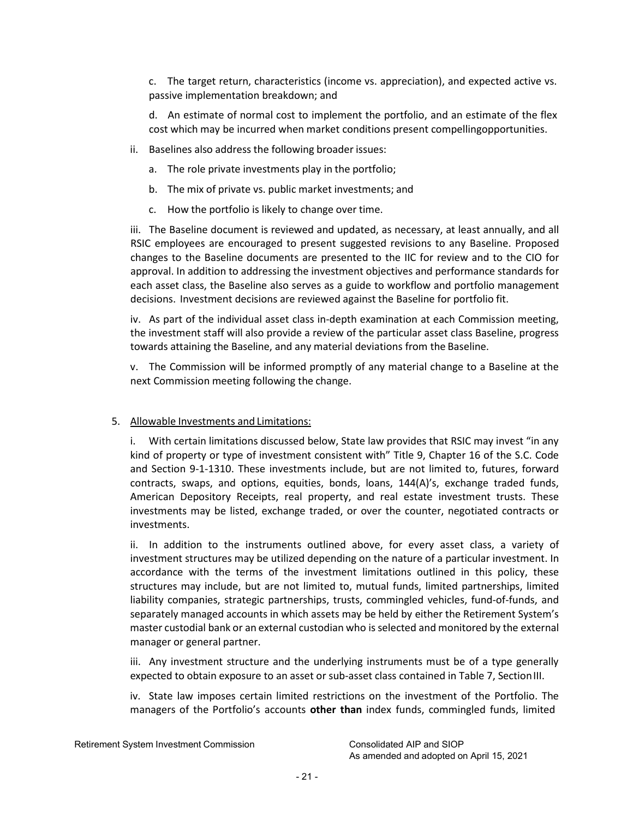c. The target return, characteristics (income vs. appreciation), and expected active vs. passive implementation breakdown; and

d. An estimate of normal cost to implement the portfolio, and an estimate of the flex cost which may be incurred when market conditions present compellingopportunities.

- ii. Baselines also address the following broader issues:
	- a. The role private investments play in the portfolio;
	- b. The mix of private vs. public market investments; and
	- c. How the portfolio is likely to change over time.

iii. The Baseline document is reviewed and updated, as necessary, at least annually, and all RSIC employees are encouraged to present suggested revisions to any Baseline. Proposed changes to the Baseline documents are presented to the IIC for review and to the CIO for approval. In addition to addressing the investment objectives and performance standards for each asset class, the Baseline also serves as a guide to workflow and portfolio management decisions. Investment decisions are reviewed against the Baseline for portfolio fit.

iv. As part of the individual asset class in-depth examination at each Commission meeting, the investment staff will also provide a review of the particular asset class Baseline, progress towards attaining the Baseline, and any material deviations from the Baseline.

v. The Commission will be informed promptly of any material change to a Baseline at the next Commission meeting following the change.

#### 5. Allowable Investments and Limitations:

i. With certain limitations discussed below, State law provides that RSIC may invest "in any kind of property or type of investment consistent with" Title 9, Chapter 16 of the S.C. Code and Section 9-1-1310. These investments include, but are not limited to, futures, forward contracts, swaps, and options, equities, bonds, loans, 144(A)'s, exchange traded funds, American Depository Receipts, real property, and real estate investment trusts. These investments may be listed, exchange traded, or over the counter, negotiated contracts or investments.

ii. In addition to the instruments outlined above, for every asset class, a variety of investment structures may be utilized depending on the nature of a particular investment. In accordance with the terms of the investment limitations outlined in this policy, these structures may include, but are not limited to, mutual funds, limited partnerships, limited liability companies, strategic partnerships, trusts, commingled vehicles, fund-of-funds, and separately managed accounts in which assets may be held by either the Retirement System's master custodial bank or an external custodian who is selected and monitored by the external manager or general partner.

iii. Any investment structure and the underlying instruments must be of a type generally expected to obtain exposure to an asset or sub-asset class contained in Table 7, SectionIII.

<span id="page-20-0"></span>iv. State law imposes certain limited restrictions on the investment of the Portfolio. The managers of the Portfolio's accounts **other than** index funds, commingled funds, limited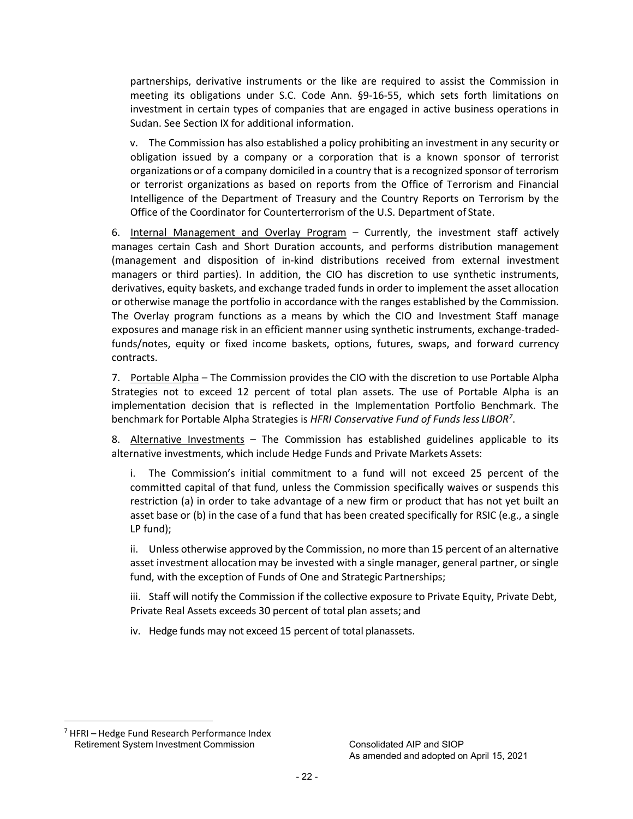partnerships, derivative instruments or the like are required to assist the Commission in meeting its obligations under S.C. Code Ann. §9-16-55, which sets forth limitations on investment in certain types of companies that are engaged in active business operations in Sudan. See Section IX for additional information.

v. The Commission has also established a policy prohibiting an investment in any security or obligation issued by a company or a corporation that is a known sponsor of terrorist organizations or of a company domiciled in a country that is a recognized sponsor of terrorism or terrorist organizations as based on reports from the Office of Terrorism and Financial Intelligence of the Department of Treasury and the Country Reports on Terrorism by the Office of the Coordinator for Counterterrorism of the U.S. Department of State.

6. Internal Management and Overlay Program – Currently, the investment staff actively manages certain Cash and Short Duration accounts, and performs distribution management (management and disposition of in-kind distributions received from external investment managers or third parties). In addition, the CIO has discretion to use synthetic instruments, derivatives, equity baskets, and exchange traded funds in order to implement the asset allocation or otherwise manage the portfolio in accordance with the ranges established by the Commission. The Overlay program functions as a means by which the CIO and Investment Staff manage exposures and manage risk in an efficient manner using synthetic instruments, exchange-tradedfunds/notes, equity or fixed income baskets, options, futures, swaps, and forward currency contracts.

7. Portable Alpha – The Commission provides the CIO with the discretion to use Portable Alpha Strategies not to exceed 12 percent of total plan assets. The use of Portable Alpha is an implementation decision that is reflected in the Implementation Portfolio Benchmark. The benchmark for Portable Alpha Strategies is *HFRI Conservative Fund of Funds less LIBO[R7](#page-25-0)* .

8. Alternative Investments – The Commission has established guidelines applicable to its alternative investments, which include Hedge Funds and Private Markets Assets:

i. The Commission's initial commitment to a fund will not exceed 25 percent of the committed capital of that fund, unless the Commission specifically waives or suspends this restriction (a) in order to take advantage of a new firm or product that has not yet built an asset base or (b) in the case of a fund that has been created specifically for RSIC (e.g., a single LP fund);

ii. Unless otherwise approved by the Commission, no more than 15 percent of an alternative asset investment allocation may be invested with a single manager, general partner, or single fund, with the exception of Funds of One and Strategic Partnerships;

iii. Staff will notify the Commission if the collective exposure to Private Equity, Private Debt, Private Real Assets exceeds 30 percent of total plan assets; and

iv. Hedge funds may not exceed 15 percent of total planassets.

Retirement System Investment Commission Consolidated AIP and SIOP  $<sup>7</sup>$  HFRI – Hedge Fund Research Performance Index</sup>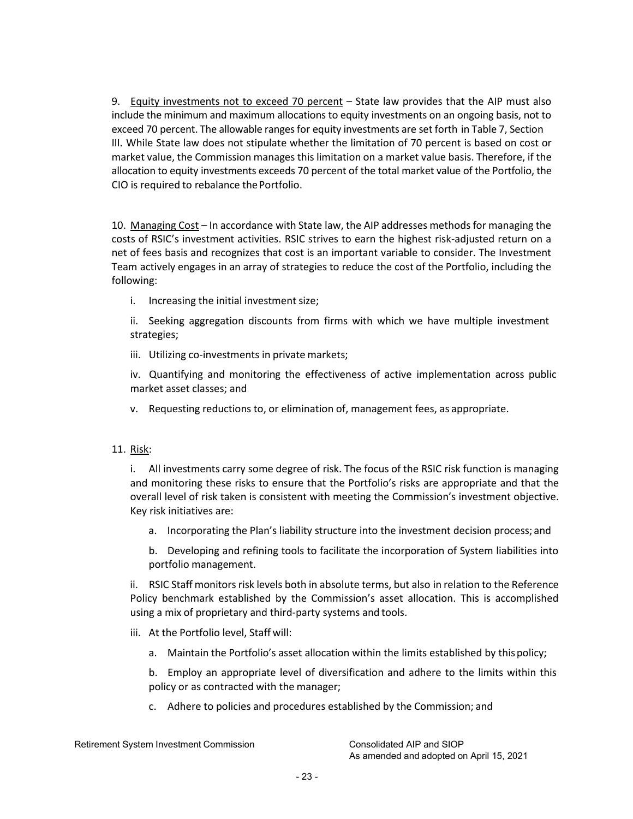9. Equity investments not to exceed 70 percent - State law provides that the AIP must also include the minimum and maximum allocations to equity investments on an ongoing basis, not to exceed 70 percent. The allowable rangesfor equity investments are set forth in Table 7, Section III. While State law does not stipulate whether the limitation of 70 percent is based on cost or market value, the Commission manages this limitation on a market value basis. Therefore, if the allocation to equity investments exceeds 70 percent of the total market value of the Portfolio, the CIO is required to rebalance thePortfolio.

10. Managing Cost – In accordance with State law, the AIP addresses methods for managing the costs of RSIC's investment activities. RSIC strives to earn the highest risk-adjusted return on a net of fees basis and recognizes that cost is an important variable to consider. The Investment Team actively engages in an array of strategies to reduce the cost of the Portfolio, including the following:

i. Increasing the initial investment size;

ii. Seeking aggregation discounts from firms with which we have multiple investment strategies;

iii. Utilizing co-investments in private markets;

iv. Quantifying and monitoring the effectiveness of active implementation across public market asset classes; and

v. Requesting reductions to, or elimination of, management fees, as appropriate.

#### 11. Risk:

i. All investments carry some degree of risk. The focus of the RSIC risk function is managing and monitoring these risks to ensure that the Portfolio's risks are appropriate and that the overall level of risk taken is consistent with meeting the Commission's investment objective. Key risk initiatives are:

a. Incorporating the Plan's liability structure into the investment decision process; and

b. Developing and refining tools to facilitate the incorporation of System liabilities into portfolio management.

ii. RSIC Staff monitors risk levels both in absolute terms, but also in relation to the Reference Policy benchmark established by the Commission's asset allocation. This is accomplished using a mix of proprietary and third-party systems and tools.

- iii. At the Portfolio level, Staff will:
	- a. Maintain the Portfolio's asset allocation within the limits established by thispolicy;

b. Employ an appropriate level of diversification and adhere to the limits within this policy or as contracted with the manager;

<span id="page-22-0"></span>c. Adhere to policies and procedures established by the Commission; and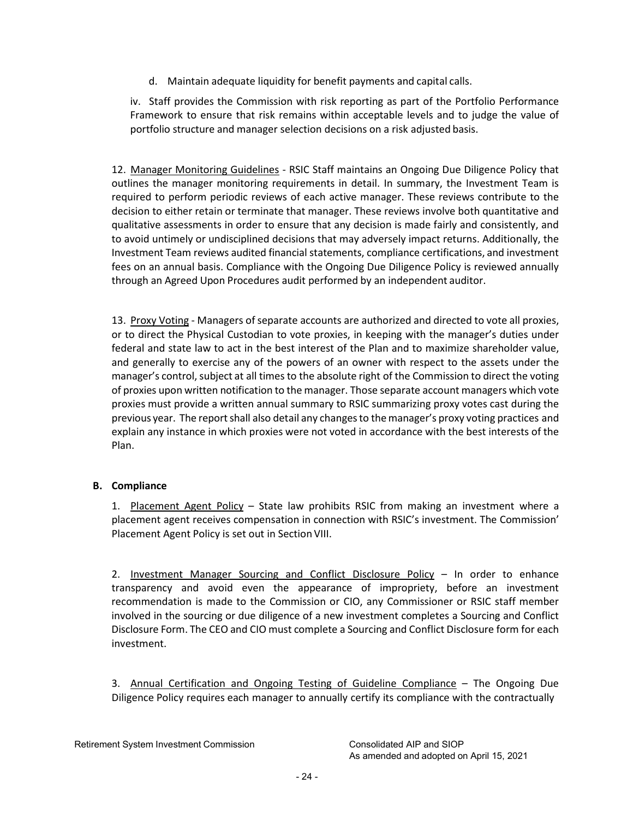d. Maintain adequate liquidity for benefit payments and capital calls.

iv. Staff provides the Commission with risk reporting as part of the Portfolio Performance Framework to ensure that risk remains within acceptable levels and to judge the value of portfolio structure and manager selection decisions on a risk adjusted basis.

12. Manager Monitoring Guidelines - RSIC Staff maintains an Ongoing Due Diligence Policy that outlines the manager monitoring requirements in detail. In summary, the Investment Team is required to perform periodic reviews of each active manager. These reviews contribute to the decision to either retain or terminate that manager. These reviews involve both quantitative and qualitative assessments in order to ensure that any decision is made fairly and consistently, and to avoid untimely or undisciplined decisions that may adversely impact returns. Additionally, the Investment Team reviews audited financial statements, compliance certifications, and investment fees on an annual basis. Compliance with the Ongoing Due Diligence Policy is reviewed annually through an Agreed Upon Procedures audit performed by an independent auditor.

13. Proxy Voting - Managers of separate accounts are authorized and directed to vote all proxies, or to direct the Physical Custodian to vote proxies, in keeping with the manager's duties under federal and state law to act in the best interest of the Plan and to maximize shareholder value, and generally to exercise any of the powers of an owner with respect to the assets under the manager's control, subject at all times to the absolute right of the Commission to direct the voting of proxies upon written notification to the manager. Those separate account managers which vote proxies must provide a written annual summary to RSIC summarizing proxy votes cast during the previous year. The report shall also detail any changes to the manager's proxy voting practices and explain any instance in which proxies were not voted in accordance with the best interests of the Plan.

# **B. Compliance**

1. Placement Agent Policy - State law prohibits RSIC from making an investment where a placement agent receives compensation in connection with RSIC's investment. The Commission' Placement Agent Policy is set out in Section VIII.

2. Investment Manager Sourcing and Conflict Disclosure Policy – In order to enhance transparency and avoid even the appearance of impropriety, before an investment recommendation is made to the Commission or CIO, any Commissioner or RSIC staff member involved in the sourcing or due diligence of a new investment completes a Sourcing and Conflict Disclosure Form. The CEO and CIO must complete a Sourcing and Conflict Disclosure form for each investment.

3. Annual Certification and Ongoing Testing of Guideline Compliance – The Ongoing Due Diligence Policy requires each manager to annually certify its compliance with the contractually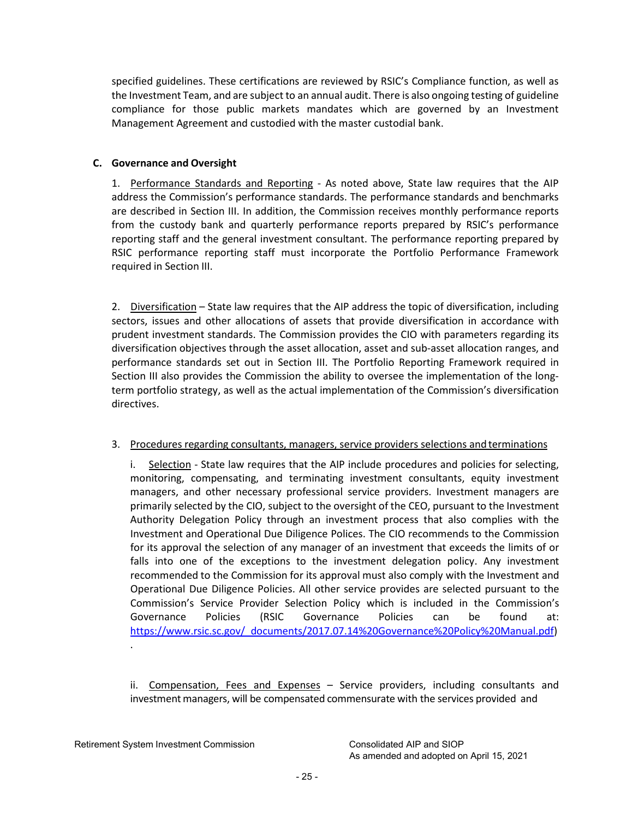specified guidelines. These certifications are reviewed by RSIC's Compliance function, as well as the Investment Team, and are subject to an annual audit. There is also ongoing testing of guideline compliance for those public markets mandates which are governed by an Investment Management Agreement and custodied with the master custodial bank.

# **C. Governance and Oversight**

1. Performance Standards and Reporting - As noted above, State law requires that the AIP address the Commission's performance standards. The performance standards and benchmarks are described in Section III. In addition, the Commission receives monthly performance reports from the custody bank and quarterly performance reports prepared by RSIC's performance reporting staff and the general investment consultant. The performance reporting prepared by RSIC performance reporting staff must incorporate the Portfolio Performance Framework required in Section III.

2. Diversification – State law requires that the AIP address the topic of diversification, including sectors, issues and other allocations of assets that provide diversification in accordance with prudent investment standards. The Commission provides the CIO with parameters regarding its diversification objectives through the asset allocation, asset and sub-asset allocation ranges, and performance standards set out in Section III. The Portfolio Reporting Framework required in Section III also provides the Commission the ability to oversee the implementation of the longterm portfolio strategy, as well as the actual implementation of the Commission's diversification directives.

# 3. Procedures regarding consultants, managers, service providers selections and terminations

i. Selection - State law requires that the AIP include procedures and policies for selecting, monitoring, compensating, and terminating investment consultants, equity investment managers, and other necessary professional service providers. Investment managers are primarily selected by the CIO, subject to the oversight of the CEO, pursuant to the Investment Authority Delegation Policy through an investment process that also complies with the Investment and Operational Due Diligence Polices. The CIO recommends to the Commission for its approval the selection of any manager of an investment that exceeds the limits of or falls into one of the exceptions to the investment delegation policy. Any investment recommended to the Commission for its approval must also comply with the Investment and Operational Due Diligence Policies. All other service provides are selected pursuant to the Commission's Service Provider Selection Policy which is included in the Commission's Governance Policies (RSIC Governance Policies can be found at: [https://www.rsic.sc.gov/\\_documents/2017.07.14%20Governance%20Policy%20Manual.pdf\)](https://www.rsic.sc.gov/_documents/2017.07.14%20Governance%20Policy%20Manual.pdf)

ii. Compensation, Fees and Expenses – Service providers, including consultants and investment managers, will be compensated commensurate with the services provided and

Retirement System Investment Commission Consolidated AIP and SIOP

.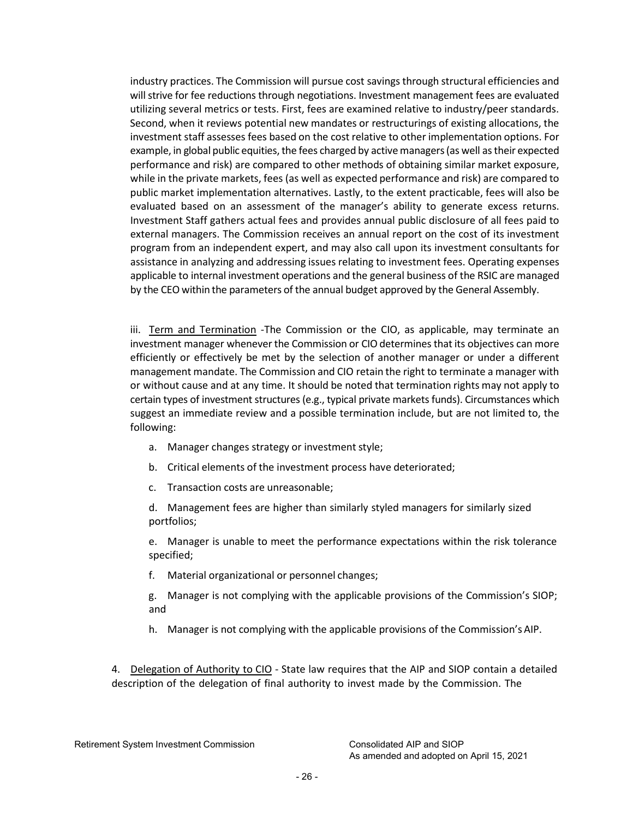<span id="page-25-0"></span>industry practices. The Commission will pursue cost savingsthrough structural efficiencies and will strive for fee reductions through negotiations. Investment management fees are evaluated utilizing several metrics or tests. First, fees are examined relative to industry/peer standards. Second, when it reviews potential new mandates or restructurings of existing allocations, the investment staff assesses fees based on the cost relative to other implementation options. For example, in global public equities, the fees charged by active managers (as well as their expected performance and risk) are compared to other methods of obtaining similar market exposure, while in the private markets, fees (as well as expected performance and risk) are compared to public market implementation alternatives. Lastly, to the extent practicable, fees will also be evaluated based on an assessment of the manager's ability to generate excess returns. Investment Staff gathers actual fees and provides annual public disclosure of all fees paid to external managers. The Commission receives an annual report on the cost of its investment program from an independent expert, and may also call upon its investment consultants for assistance in analyzing and addressing issues relating to investment fees. Operating expenses applicable to internal investment operations and the general business of the RSIC are managed by the CEO within the parameters of the annual budget approved by the General Assembly.

iii. Term and Termination -The Commission or the CIO, as applicable, may terminate an investment manager whenever the Commission or CIO determines that its objectives can more efficiently or effectively be met by the selection of another manager or under a different management mandate. The Commission and CIO retain the right to terminate a manager with or without cause and at any time. It should be noted that termination rights may not apply to certain types of investment structures (e.g., typical private markets funds). Circumstances which suggest an immediate review and a possible termination include, but are not limited to, the following:

- a. Manager changes strategy or investment style;
- b. Critical elements of the investment process have deteriorated;
- c. Transaction costs are unreasonable;

d. Management fees are higher than similarly styled managers for similarly sized portfolios;

e. Manager is unable to meet the performance expectations within the risk tolerance specified;

f. Material organizational or personnel changes;

g. Manager is not complying with the applicable provisions of the Commission's SIOP; and

h. Manager is not complying with the applicable provisions of the Commission's AIP.

4. Delegation of Authority to CIO - State law requires that the AIP and SIOP contain a detailed description of the delegation of final authority to invest made by the Commission. The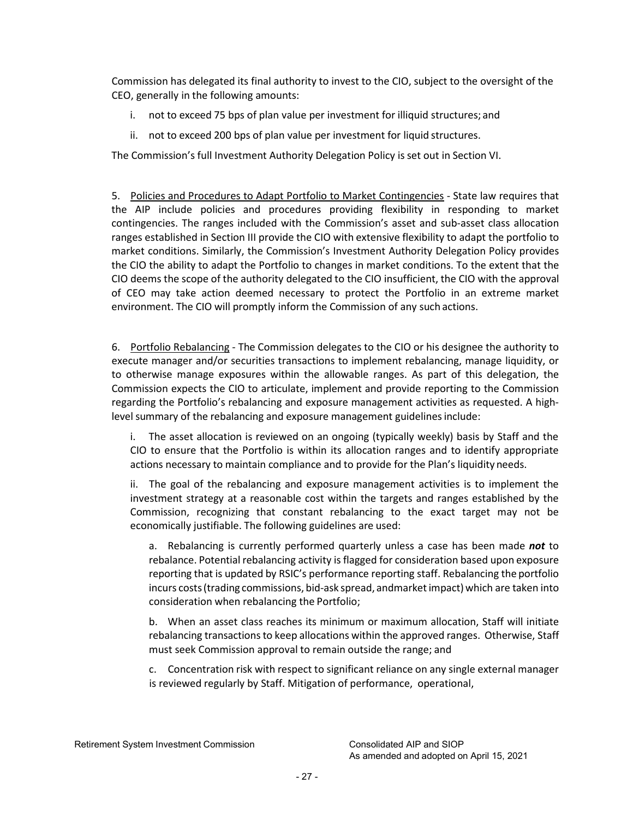Commission has delegated its final authority to invest to the CIO, subject to the oversight of the CEO, generally in the following amounts:

- i. not to exceed 75 bps of plan value per investment for illiquid structures; and
- ii. not to exceed 200 bps of plan value per investment for liquid structures.

The Commission's full Investment Authority Delegation Policy is set out in Section VI.

5. Policies and Procedures to Adapt Portfolio to Market Contingencies - State law requires that the AIP include policies and procedures providing flexibility in responding to market contingencies. The ranges included with the Commission's asset and sub-asset class allocation ranges established in Section III provide the CIO with extensive flexibility to adapt the portfolio to market conditions. Similarly, the Commission's Investment Authority Delegation Policy provides the CIO the ability to adapt the Portfolio to changes in market conditions. To the extent that the CIO deems the scope of the authority delegated to the CIO insufficient, the CIO with the approval of CEO may take action deemed necessary to protect the Portfolio in an extreme market environment. The CIO will promptly inform the Commission of any such actions.

6. Portfolio Rebalancing - The Commission delegates to the CIO or his designee the authority to execute manager and/or securities transactions to implement rebalancing, manage liquidity, or to otherwise manage exposures within the allowable ranges. As part of this delegation, the Commission expects the CIO to articulate, implement and provide reporting to the Commission regarding the Portfolio's rebalancing and exposure management activities as requested. A highlevel summary of the rebalancing and exposure management guidelinesinclude:

i. The asset allocation is reviewed on an ongoing (typically weekly) basis by Staff and the CIO to ensure that the Portfolio is within its allocation ranges and to identify appropriate actions necessary to maintain compliance and to provide for the Plan's liquidity needs.

ii. The goal of the rebalancing and exposure management activities is to implement the investment strategy at a reasonable cost within the targets and ranges established by the Commission, recognizing that constant rebalancing to the exact target may not be economically justifiable. The following guidelines are used:

a. Rebalancing is currently performed quarterly unless a case has been made *not* to rebalance. Potential rebalancing activity isflagged for consideration based upon exposure reporting that is updated by RSIC's performance reporting staff. Rebalancing the portfolio incurs costs (trading commissions, bid-ask spread, andmarket impact) which are taken into consideration when rebalancing the Portfolio;

b. When an asset class reaches its minimum or maximum allocation, Staff will initiate rebalancing transactionsto keep allocations within the approved ranges. Otherwise, Staff must seek Commission approval to remain outside the range; and

c. Concentration risk with respect to significant reliance on any single external manager is reviewed regularly by Staff. Mitigation of performance, operational,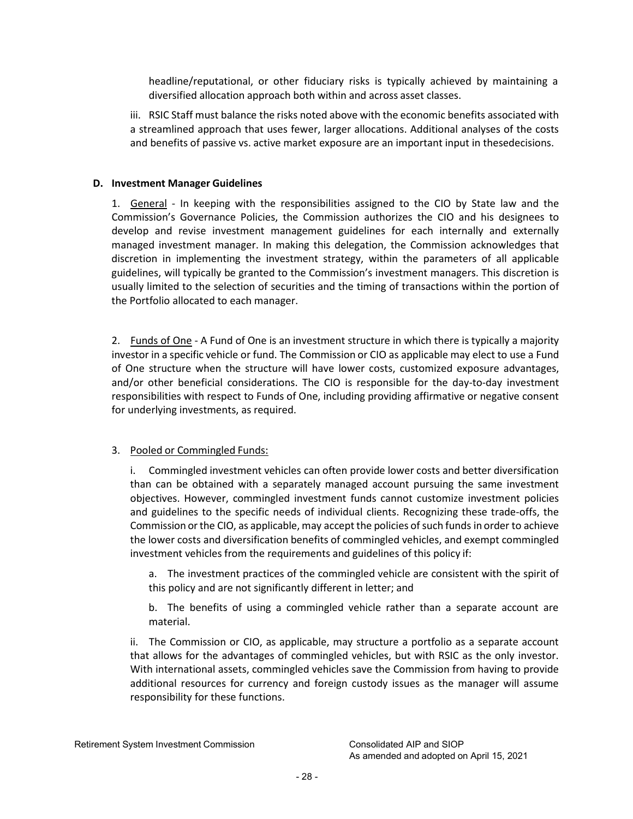headline/reputational, or other fiduciary risks is typically achieved by maintaining a diversified allocation approach both within and across asset classes.

iii. RSIC Staff must balance the risks noted above with the economic benefits associated with a streamlined approach that uses fewer, larger allocations. Additional analyses of the costs and benefits of passive vs. active market exposure are an important input in thesedecisions.

# **D. Investment Manager Guidelines**

1. General - In keeping with the responsibilities assigned to the CIO by State law and the Commission's Governance Policies, the Commission authorizes the CIO and his designees to develop and revise investment management guidelines for each internally and externally managed investment manager. In making this delegation, the Commission acknowledges that discretion in implementing the investment strategy, within the parameters of all applicable guidelines, will typically be granted to the Commission's investment managers. This discretion is usually limited to the selection of securities and the timing of transactions within the portion of the Portfolio allocated to each manager.

2. Funds of One - A Fund of One is an investment structure in which there is typically a majority investor in a specific vehicle or fund. The Commission or CIO as applicable may elect to use a Fund of One structure when the structure will have lower costs, customized exposure advantages, and/or other beneficial considerations. The CIO is responsible for the day-to-day investment responsibilities with respect to Funds of One, including providing affirmative or negative consent for underlying investments, as required.

# 3. Pooled or Commingled Funds:

i. Commingled investment vehicles can often provide lower costs and better diversification than can be obtained with a separately managed account pursuing the same investment objectives. However, commingled investment funds cannot customize investment policies and guidelines to the specific needs of individual clients. Recognizing these trade-offs, the Commission or the CIO, as applicable, may accept the policies of such funds in order to achieve the lower costs and diversification benefits of commingled vehicles, and exempt commingled investment vehicles from the requirements and guidelines of this policy if:

a. The investment practices of the commingled vehicle are consistent with the spirit of this policy and are not significantly different in letter; and

b. The benefits of using a commingled vehicle rather than a separate account are material.

ii. The Commission or CIO, as applicable, may structure a portfolio as a separate account that allows for the advantages of commingled vehicles, but with RSIC as the only investor. With international assets, commingled vehicles save the Commission from having to provide additional resources for currency and foreign custody issues as the manager will assume responsibility for these functions.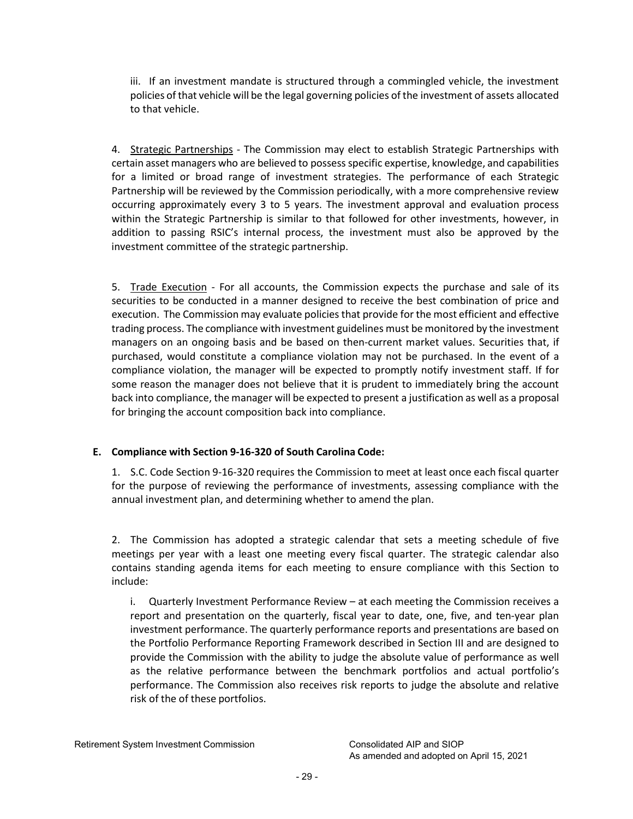iii. If an investment mandate is structured through a commingled vehicle, the investment policies of that vehicle will be the legal governing policies of the investment of assets allocated to that vehicle.

4. Strategic Partnerships - The Commission may elect to establish Strategic Partnerships with certain asset managers who are believed to possessspecific expertise, knowledge, and capabilities for a limited or broad range of investment strategies. The performance of each Strategic Partnership will be reviewed by the Commission periodically, with a more comprehensive review occurring approximately every 3 to 5 years. The investment approval and evaluation process within the Strategic Partnership is similar to that followed for other investments, however, in addition to passing RSIC's internal process, the investment must also be approved by the investment committee of the strategic partnership.

5. Trade Execution - For all accounts, the Commission expects the purchase and sale of its securities to be conducted in a manner designed to receive the best combination of price and execution. The Commission may evaluate policies that provide for the most efficient and effective trading process. The compliance with investment guidelines must be monitored by the investment managers on an ongoing basis and be based on then-current market values. Securities that, if purchased, would constitute a compliance violation may not be purchased. In the event of a compliance violation, the manager will be expected to promptly notify investment staff. If for some reason the manager does not believe that it is prudent to immediately bring the account back into compliance, the manager will be expected to present a justification as well as a proposal for bringing the account composition back into compliance.

# **E. Compliance with Section 9-16-320 of South Carolina Code:**

1. S.C. Code Section 9-16-320 requires the Commission to meet at least once each fiscal quarter for the purpose of reviewing the performance of investments, assessing compliance with the annual investment plan, and determining whether to amend the plan.

2. The Commission has adopted a strategic calendar that sets a meeting schedule of five meetings per year with a least one meeting every fiscal quarter. The strategic calendar also contains standing agenda items for each meeting to ensure compliance with this Section to include:

i. Quarterly Investment Performance Review – at each meeting the Commission receives a report and presentation on the quarterly, fiscal year to date, one, five, and ten-year plan investment performance. The quarterly performance reports and presentations are based on the Portfolio Performance Reporting Framework described in Section III and are designed to provide the Commission with the ability to judge the absolute value of performance as well as the relative performance between the benchmark portfolios and actual portfolio's performance. The Commission also receives risk reports to judge the absolute and relative risk of the of these portfolios.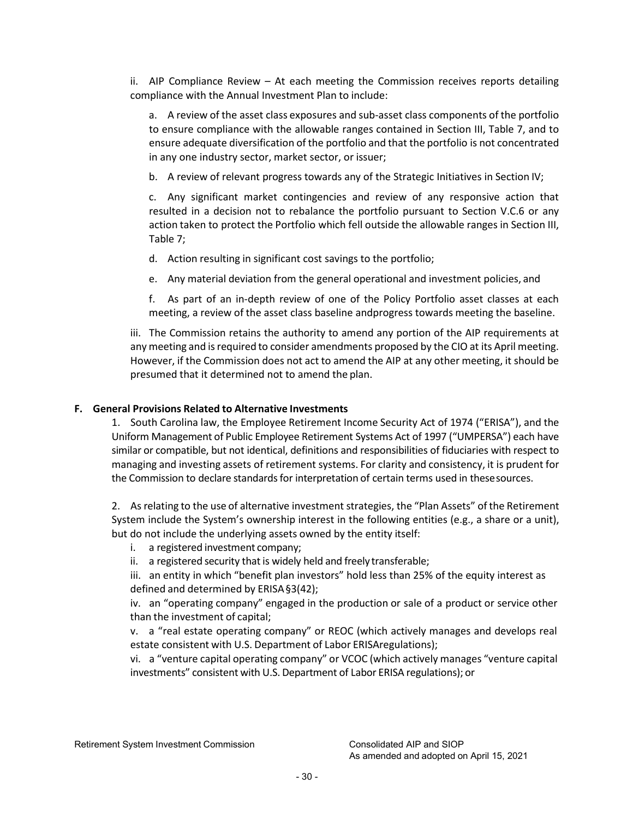ii. AIP Compliance Review – At each meeting the Commission receives reports detailing compliance with the Annual Investment Plan to include:

a. A review of the asset class exposures and sub-asset class components of the portfolio to ensure compliance with the allowable ranges contained in Section III, Table 7, and to ensure adequate diversification of the portfolio and that the portfolio is not concentrated in any one industry sector, market sector, or issuer;

b. A review of relevant progress towards any of the Strategic Initiatives in Section IV;

c. Any significant market contingencies and review of any responsive action that resulted in a decision not to rebalance the portfolio pursuant to Section V.C.6 or any action taken to protect the Portfolio which fell outside the allowable ranges in Section III, Table 7;

d. Action resulting in significant cost savings to the portfolio;

e. Any material deviation from the general operational and investment policies, and

f. As part of an in-depth review of one of the Policy Portfolio asset classes at each meeting, a review of the asset class baseline andprogress towards meeting the baseline.

iii. The Commission retains the authority to amend any portion of the AIP requirements at any meeting and is required to consider amendments proposed by the CIO at its April meeting. However, if the Commission does not act to amend the AIP at any other meeting, it should be presumed that it determined not to amend the plan.

# **F. General Provisions Related to Alternative Investments**

1. South Carolina law, the Employee Retirement Income Security Act of 1974 ("ERISA"), and the Uniform Management of Public Employee Retirement Systems Act of 1997 ("UMPERSA") each have similar or compatible, but not identical, definitions and responsibilities of fiduciaries with respect to managing and investing assets of retirement systems. For clarity and consistency, it is prudent for the Commission to declare standards for interpretation of certain terms used in these sources.

2. As relating to the use of alternative investment strategies, the "Plan Assets" of the Retirement System include the System's ownership interest in the following entities (e.g., a share or a unit), but do not include the underlying assets owned by the entity itself:

- i. a registered investment company;
- ii. a registered security that is widely held and freelytransferable;

iii. an entity in which "benefit plan investors" hold less than 25% of the equity interest as defined and determined by ERISA§3(42);

iv. an "operating company" engaged in the production or sale of a product or service other than the investment of capital;

v. a "real estate operating company" or REOC (which actively manages and develops real estate consistent with U.S. Department of Labor ERISAregulations);

vi. a "venture capital operating company" or VCOC (which actively manages "venture capital investments" consistent with U.S. Department of Labor ERISA regulations); or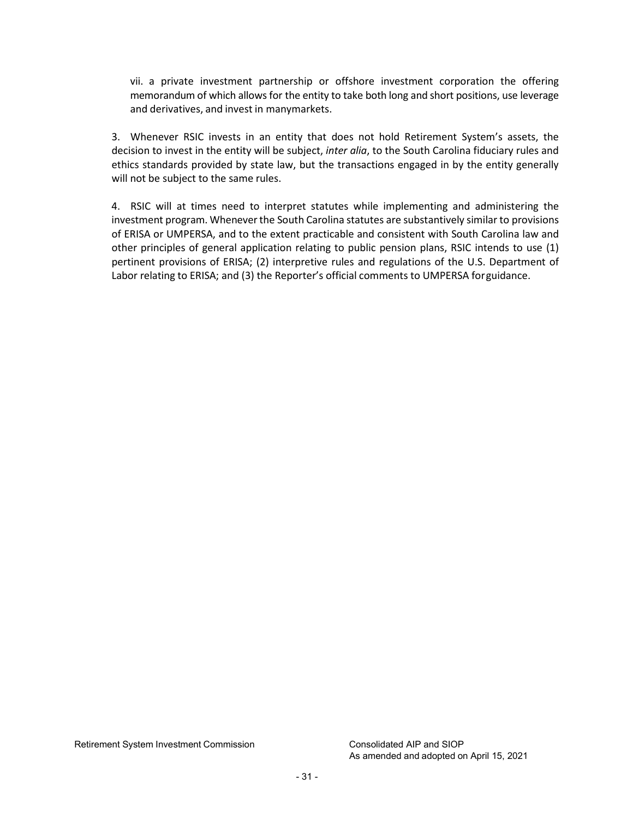vii. a private investment partnership or offshore investment corporation the offering memorandum of which allows for the entity to take both long and short positions, use leverage and derivatives, and invest in manymarkets.

3. Whenever RSIC invests in an entity that does not hold Retirement System's assets, the decision to invest in the entity will be subject, *inter alia*, to the South Carolina fiduciary rules and ethics standards provided by state law, but the transactions engaged in by the entity generally will not be subject to the same rules.

4. RSIC will at times need to interpret statutes while implementing and administering the investment program. Wheneverthe South Carolina statutes are substantively similar to provisions of ERISA or UMPERSA, and to the extent practicable and consistent with South Carolina law and other principles of general application relating to public pension plans, RSIC intends to use (1) pertinent provisions of ERISA; (2) interpretive rules and regulations of the U.S. Department of Labor relating to ERISA; and (3) the Reporter's official comments to UMPERSA forguidance.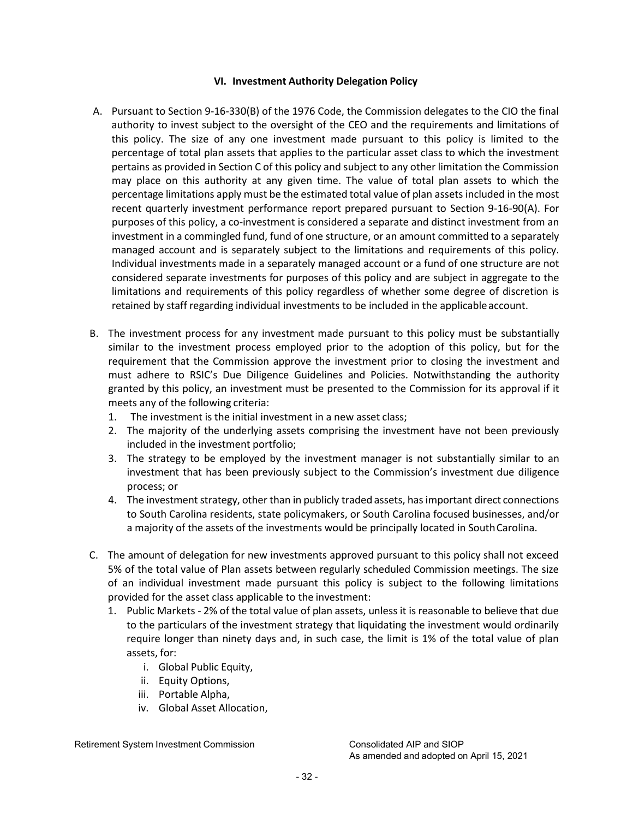#### **VI. Investment Authority Delegation Policy**

- <span id="page-31-0"></span>A. Pursuant to Section 9-16-330(B) of the 1976 Code, the Commission delegates to the CIO the final authority to invest subject to the oversight of the CEO and the requirements and limitations of this policy. The size of any one investment made pursuant to this policy is limited to the percentage of total plan assets that applies to the particular asset class to which the investment pertains as provided in Section C of this policy and subject to any other limitation the Commission may place on this authority at any given time. The value of total plan assets to which the percentage limitations apply must be the estimated total value of plan assets included in the most recent quarterly investment performance report prepared pursuant to Section 9-16-90(A). For purposes of this policy, a co-investment is considered a separate and distinct investment from an investment in a commingled fund, fund of one structure, or an amount committed to a separately managed account and is separately subject to the limitations and requirements of this policy. Individual investments made in a separately managed account or a fund of one structure are not considered separate investments for purposes of this policy and are subject in aggregate to the limitations and requirements of this policy regardless of whether some degree of discretion is retained by staff regarding individual investments to be included in the applicable account.
- B. The investment process for any investment made pursuant to this policy must be substantially similar to the investment process employed prior to the adoption of this policy, but for the requirement that the Commission approve the investment prior to closing the investment and must adhere to RSIC's Due Diligence Guidelines and Policies. Notwithstanding the authority granted by this policy, an investment must be presented to the Commission for its approval if it meets any of the following criteria:
	- 1. The investment is the initial investment in a new asset class;
	- 2. The majority of the underlying assets comprising the investment have not been previously included in the investment portfolio;
	- 3. The strategy to be employed by the investment manager is not substantially similar to an investment that has been previously subject to the Commission's investment due diligence process; or
	- 4. The investment strategy, other than in publicly traded assets, has important direct connections to South Carolina residents, state policymakers, or South Carolina focused businesses, and/or a majority of the assets of the investments would be principally located in South Carolina.
- C. The amount of delegation for new investments approved pursuant to this policy shall not exceed 5% of the total value of Plan assets between regularly scheduled Commission meetings. The size of an individual investment made pursuant this policy is subject to the following limitations provided for the asset class applicable to the investment:
	- 1. Public Markets 2% of the total value of plan assets, unless it is reasonable to believe that due to the particulars of the investment strategy that liquidating the investment would ordinarily require longer than ninety days and, in such case, the limit is 1% of the total value of plan assets, for:
		- i. Global Public Equity,
		- ii. Equity Options,
		- iii. Portable Alpha,
		- iv. Global Asset Allocation,

Retirement System Investment Commission Consolidated AIP and SIOP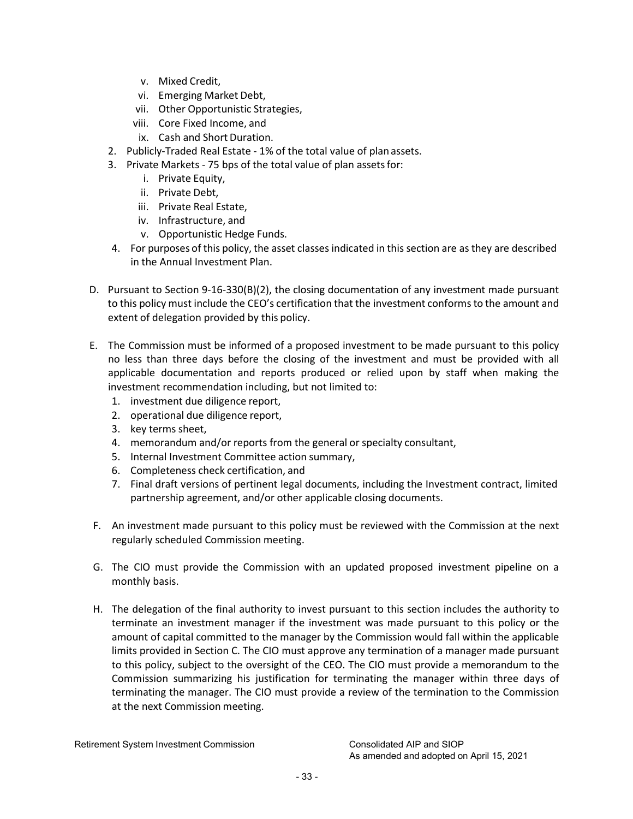- v. Mixed Credit,
- vi. Emerging Market Debt,
- vii. Other Opportunistic Strategies,
- viii. Core Fixed Income, and
- ix. Cash and Short Duration.
- 2. Publicly-Traded Real Estate 1% of the total value of plan assets.
- 3. Private Markets 75 bps of the total value of plan assets for:
	- i. Private Equity,
	- ii. Private Debt,
	- iii. Private Real Estate,
	- iv. Infrastructure, and
	- v. Opportunistic Hedge Funds.
- 4. For purposes of this policy, the asset classes indicated in this section are as they are described in the Annual Investment Plan.
- D. Pursuant to Section 9-16-330(B)(2), the closing documentation of any investment made pursuant to this policy must include the CEO's certification that the investment conformsto the amount and extent of delegation provided by this policy.
- E. The Commission must be informed of a proposed investment to be made pursuant to this policy no less than three days before the closing of the investment and must be provided with all applicable documentation and reports produced or relied upon by staff when making the investment recommendation including, but not limited to:
	- 1. investment due diligence report,
	- 2. operational due diligence report,
	- 3. key terms sheet,
	- 4. memorandum and/or reports from the general or specialty consultant,
	- 5. Internal Investment Committee action summary,
	- 6. Completeness check certification, and
	- 7. Final draft versions of pertinent legal documents, including the Investment contract, limited partnership agreement, and/or other applicable closing documents.
- F. An investment made pursuant to this policy must be reviewed with the Commission at the next regularly scheduled Commission meeting.
- G. The CIO must provide the Commission with an updated proposed investment pipeline on a monthly basis.
- H. The delegation of the final authority to invest pursuant to this section includes the authority to terminate an investment manager if the investment was made pursuant to this policy or the amount of capital committed to the manager by the Commission would fall within the applicable limits provided in Section C. The CIO must approve any termination of a manager made pursuant to this policy, subject to the oversight of the CEO. The CIO must provide a memorandum to the Commission summarizing his justification for terminating the manager within three days of terminating the manager. The CIO must provide a review of the termination to the Commission at the next Commission meeting.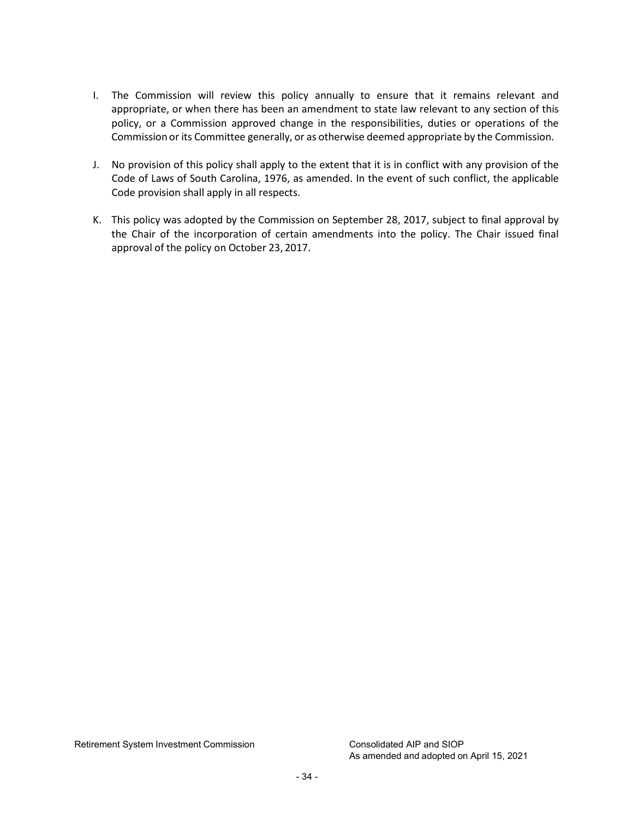- I. The Commission will review this policy annually to ensure that it remains relevant and appropriate, or when there has been an amendment to state law relevant to any section of this policy, or a Commission approved change in the responsibilities, duties or operations of the Commission or its Committee generally, or as otherwise deemed appropriate by the Commission.
- J. No provision of this policy shall apply to the extent that it is in conflict with any provision of the Code of Laws of South Carolina, 1976, as amended. In the event of such conflict, the applicable Code provision shall apply in all respects.
- K. This policy was adopted by the Commission on September 28, 2017, subject to final approval by the Chair of the incorporation of certain amendments into the policy. The Chair issued final approval of the policy on October 23, 2017.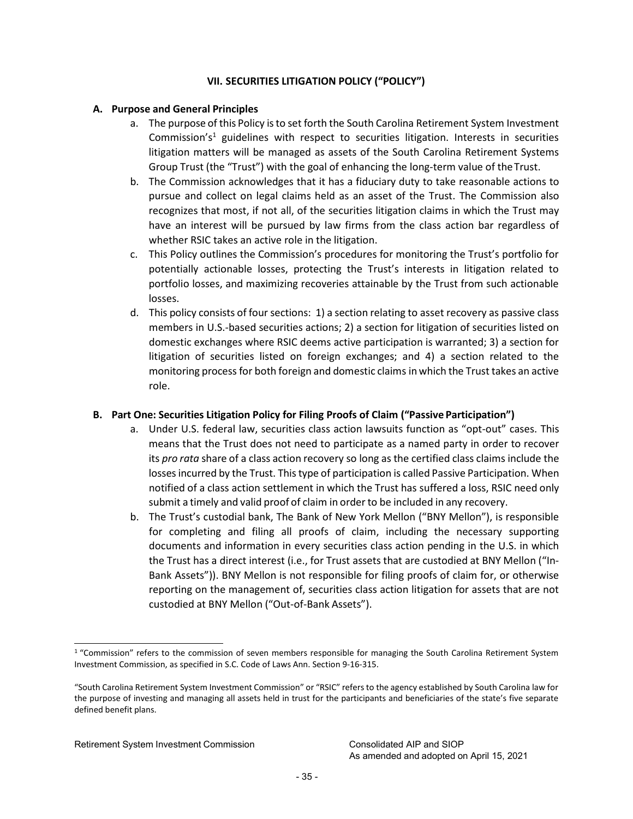# **VII. SECURITIES LITIGATION POLICY ("POLICY")**

# **A. Purpose and General Principles**

- a. The purpose of this Policy isto set forth the South Carolina Retirement System Investment Commission's<sup>1</sup> guidelines with respect to securities litigation. Interests in securities litigation matters will be managed as assets of the South Carolina Retirement Systems Group Trust (the "Trust") with the goal of enhancing the long-term value of theTrust.
- b. The Commission acknowledges that it has a fiduciary duty to take reasonable actions to pursue and collect on legal claims held as an asset of the Trust. The Commission also recognizes that most, if not all, of the securities litigation claims in which the Trust may have an interest will be pursued by law firms from the class action bar regardless of whether RSIC takes an active role in the litigation.
- c. This Policy outlines the Commission's procedures for monitoring the Trust's portfolio for potentially actionable losses, protecting the Trust's interests in litigation related to portfolio losses, and maximizing recoveries attainable by the Trust from such actionable losses.
- d. This policy consists of four sections: 1) a section relating to asset recovery as passive class members in U.S.-based securities actions; 2) a section for litigation of securities listed on domestic exchanges where RSIC deems active participation is warranted; 3) a section for litigation of securities listed on foreign exchanges; and 4) a section related to the monitoring process for both foreign and domestic claims in which the Trust takes an active role.

# **B. Part One: Securities Litigation Policy for Filing Proofs of Claim ("Passive Participation")**

- a. Under U.S. federal law, securities class action lawsuits function as "opt-out" cases. This means that the Trust does not need to participate as a named party in order to recover its *pro rata* share of a class action recovery so long as the certified class claims include the losses incurred by the Trust. This type of participation is called Passive Participation. When notified of a class action settlement in which the Trust has suffered a loss, RSIC need only submit a timely and valid proof of claim in order to be included in any recovery.
- b. The Trust's custodial bank, The Bank of New York Mellon ("BNY Mellon"), is responsible for completing and filing all proofs of claim, including the necessary supporting documents and information in every securities class action pending in the U.S. in which the Trust has a direct interest (i.e., for Trust assets that are custodied at BNY Mellon ("In-Bank Assets")). BNY Mellon is not responsible for filing proofs of claim for, or otherwise reporting on the management of, securities class action litigation for assets that are not custodied at BNY Mellon ("Out-of-Bank Assets").

<span id="page-34-0"></span><sup>&</sup>lt;sup>1</sup> "Commission" refers to the commission of seven members responsible for managing the South Carolina Retirement System Investment Commission, as specified in S.C. Code of Laws Ann. Section 9-16-315.

<sup>&</sup>quot;South Carolina Retirement System Investment Commission" or "RSIC" refers to the agency established by South Carolina law for the purpose of investing and managing all assets held in trust for the participants and beneficiaries of the state's five separate defined benefit plans.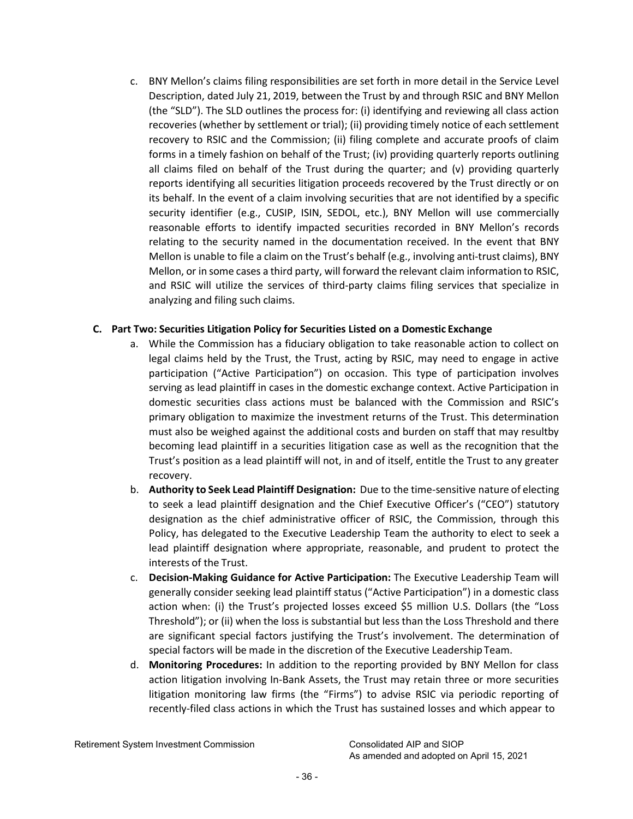c. BNY Mellon's claims filing responsibilities are set forth in more detail in the Service Level Description, dated July 21, 2019, between the Trust by and through RSIC and BNY Mellon (the "SLD"). The SLD outlines the process for: (i) identifying and reviewing all class action recoveries (whether by settlement or trial); (ii) providing timely notice of each settlement recovery to RSIC and the Commission; (ii) filing complete and accurate proofs of claim forms in a timely fashion on behalf of the Trust; (iv) providing quarterly reports outlining all claims filed on behalf of the Trust during the quarter; and (v) providing quarterly reports identifying all securities litigation proceeds recovered by the Trust directly or on its behalf. In the event of a claim involving securities that are not identified by a specific security identifier (e.g., CUSIP, ISIN, SEDOL, etc.), BNY Mellon will use commercially reasonable efforts to identify impacted securities recorded in BNY Mellon's records relating to the security named in the documentation received. In the event that BNY Mellon is unable to file a claim on the Trust's behalf (e.g., involving anti-trust claims), BNY Mellon, or in some cases a third party, will forward the relevant claim information to RSIC, and RSIC will utilize the services of third-party claims filing services that specialize in analyzing and filing such claims.

# **C. Part Two: Securities Litigation Policy for Securities Listed on a Domestic Exchange**

- a. While the Commission has a fiduciary obligation to take reasonable action to collect on legal claims held by the Trust, the Trust, acting by RSIC, may need to engage in active participation ("Active Participation") on occasion. This type of participation involves serving as lead plaintiff in cases in the domestic exchange context. Active Participation in domestic securities class actions must be balanced with the Commission and RSIC's primary obligation to maximize the investment returns of the Trust. This determination must also be weighed against the additional costs and burden on staff that may resultby becoming lead plaintiff in a securities litigation case as well as the recognition that the Trust's position as a lead plaintiff will not, in and of itself, entitle the Trust to any greater recovery.
- b. **Authority to Seek Lead Plaintiff Designation:** Due to the time-sensitive nature of electing to seek a lead plaintiff designation and the Chief Executive Officer's ("CEO") statutory designation as the chief administrative officer of RSIC, the Commission, through this Policy, has delegated to the Executive Leadership Team the authority to elect to seek a lead plaintiff designation where appropriate, reasonable, and prudent to protect the interests of the Trust.
- c. **Decision-Making Guidance for Active Participation:** The Executive Leadership Team will generally consider seeking lead plaintiff status ("Active Participation") in a domestic class action when: (i) the Trust's projected losses exceed \$5 million U.S. Dollars (the "Loss Threshold"); or (ii) when the loss is substantial but less than the Loss Threshold and there are significant special factors justifying the Trust's involvement. The determination of special factors will be made in the discretion of the Executive Leadership Team.
- d. **Monitoring Procedures:** In addition to the reporting provided by BNY Mellon for class action litigation involving In-Bank Assets, the Trust may retain three or more securities litigation monitoring law firms (the "Firms") to advise RSIC via periodic reporting of recently-filed class actions in which the Trust has sustained losses and which appear to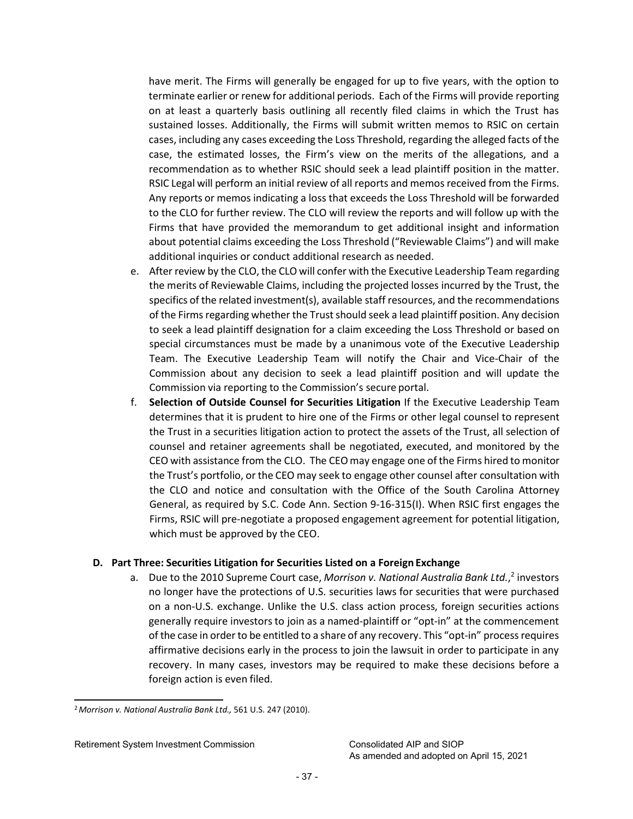have merit. The Firms will generally be engaged for up to five years, with the option to terminate earlier or renew for additional periods. Each of the Firms will provide reporting on at least a quarterly basis outlining all recently filed claims in which the Trust has sustained losses. Additionally, the Firms will submit written memos to RSIC on certain cases, including any cases exceeding the Loss Threshold, regarding the alleged facts of the case, the estimated losses, the Firm's view on the merits of the allegations, and a recommendation as to whether RSIC should seek a lead plaintiff position in the matter. RSIC Legal will perform an initial review of all reports and memos received from the Firms. Any reports or memos indicating a loss that exceeds the Loss Threshold will be forwarded to the CLO for further review. The CLO will review the reports and will follow up with the Firms that have provided the memorandum to get additional insight and information about potential claims exceeding the Loss Threshold ("Reviewable Claims") and will make additional inquiries or conduct additional research as needed.

- e. After review by the CLO, the CLO will confer with the Executive Leadership Team regarding the merits of Reviewable Claims, including the projected losses incurred by the Trust, the specifics of the related investment(s), available staff resources, and the recommendations of the Firms regarding whether the Trust should seek a lead plaintiff position. Any decision to seek a lead plaintiff designation for a claim exceeding the Loss Threshold or based on special circumstances must be made by a unanimous vote of the Executive Leadership Team. The Executive Leadership Team will notify the Chair and Vice-Chair of the Commission about any decision to seek a lead plaintiff position and will update the Commission via reporting to the Commission's secure portal.
- f. **Selection of Outside Counsel for Securities Litigation** If the Executive Leadership Team determines that it is prudent to hire one of the Firms or other legal counsel to represent the Trust in a securities litigation action to protect the assets of the Trust, all selection of counsel and retainer agreements shall be negotiated, executed, and monitored by the CEO with assistance from the CLO. The CEOmay engage one of the Firms hired to monitor the Trust's portfolio, or the CEO may seek to engage other counsel after consultation with the CLO and notice and consultation with the Office of the South Carolina Attorney General, as required by S.C. Code Ann. Section 9-16-315(I). When RSIC first engages the Firms, RSIC will pre-negotiate a proposed engagement agreement for potential litigation, which must be approved by the CEO.

# **D. Part Three: Securities Litigation for Securities Listed on a Foreign Exchange**

a. Due to the 2010 Supreme Court case, *Morrison v. National Australia Bank Ltd.*[,](#page-36-0) <sup>2</sup> investors no longer have the protections of U.S. securities laws for securities that were purchased on a non-U.S. exchange. Unlike the U.S. class action process, foreign securities actions generally require investorsto join as a named-plaintiff or "opt-in" at the commencement of the case in orderto be entitled to a share of any recovery. This "opt-in" processrequires affirmative decisions early in the process to join the lawsuit in order to participate in any recovery. In many cases, investors may be required to make these decisions before a foreign action is even filed.

<span id="page-36-0"></span><sup>2</sup>*Morrison v. National Australia Bank Ltd.,* 561 U.S. 247 (2010).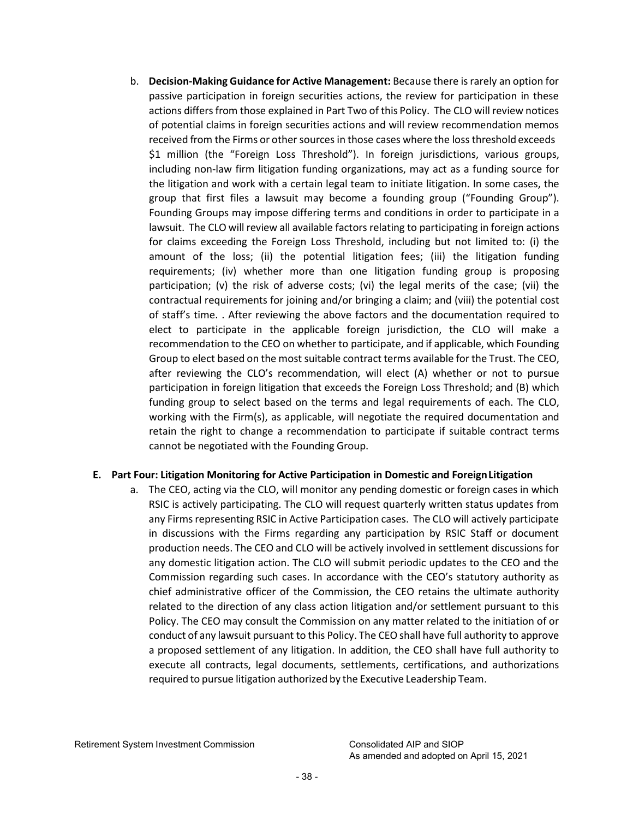b. **Decision-Making Guidance for Active Management:** Because there israrely an option for passive participation in foreign securities actions, the review for participation in these actions differs from those explained in Part Two of this Policy. The CLO will review notices of potential claims in foreign securities actions and will review recommendation memos received from the Firms or other sources in those cases where the loss threshold exceeds \$1 million (the "Foreign Loss Threshold"). In foreign jurisdictions, various groups, including non-law firm litigation funding organizations, may act as a funding source for the litigation and work with a certain legal team to initiate litigation. In some cases, the group that first files a lawsuit may become a founding group ("Founding Group"). Founding Groups may impose differing terms and conditions in order to participate in a lawsuit. The CLO will review all available factors relating to participating in foreign actions for claims exceeding the Foreign Loss Threshold, including but not limited to: (i) the amount of the loss; (ii) the potential litigation fees; (iii) the litigation funding requirements; (iv) whether more than one litigation funding group is proposing participation; (v) the risk of adverse costs; (vi) the legal merits of the case; (vii) the contractual requirements for joining and/or bringing a claim; and (viii) the potential cost of staff's time. . After reviewing the above factors and the documentation required to elect to participate in the applicable foreign jurisdiction, the CLO will make a recommendation to the CEO on whether to participate, and if applicable, which Founding Group to elect based on the most suitable contract terms available for the Trust. The CEO, after reviewing the CLO's recommendation, will elect (A) whether or not to pursue participation in foreign litigation that exceeds the Foreign Loss Threshold; and (B) which funding group to select based on the terms and legal requirements of each. The CLO, working with the Firm(s), as applicable, will negotiate the required documentation and retain the right to change a recommendation to participate if suitable contract terms cannot be negotiated with the Founding Group.

# **E. Part Four: Litigation Monitoring for Active Participation in Domestic and ForeignLitigation**

a. The CEO, acting via the CLO, will monitor any pending domestic or foreign cases in which RSIC is actively participating. The CLO will request quarterly written status updates from any Firms representing RSIC in Active Participation cases. The CLO will actively participate in discussions with the Firms regarding any participation by RSIC Staff or document production needs. The CEO and CLO will be actively involved in settlement discussions for any domestic litigation action. The CLO will submit periodic updates to the CEO and the Commission regarding such cases. In accordance with the CEO's statutory authority as chief administrative officer of the Commission, the CEO retains the ultimate authority related to the direction of any class action litigation and/or settlement pursuant to this Policy. The CEO may consult the Commission on any matter related to the initiation of or conduct of any lawsuit pursuant to this Policy. The CEO shall have full authority to approve a proposed settlement of any litigation. In addition, the CEO shall have full authority to execute all contracts, legal documents, settlements, certifications, and authorizations required to pursue litigation authorized by the Executive Leadership Team.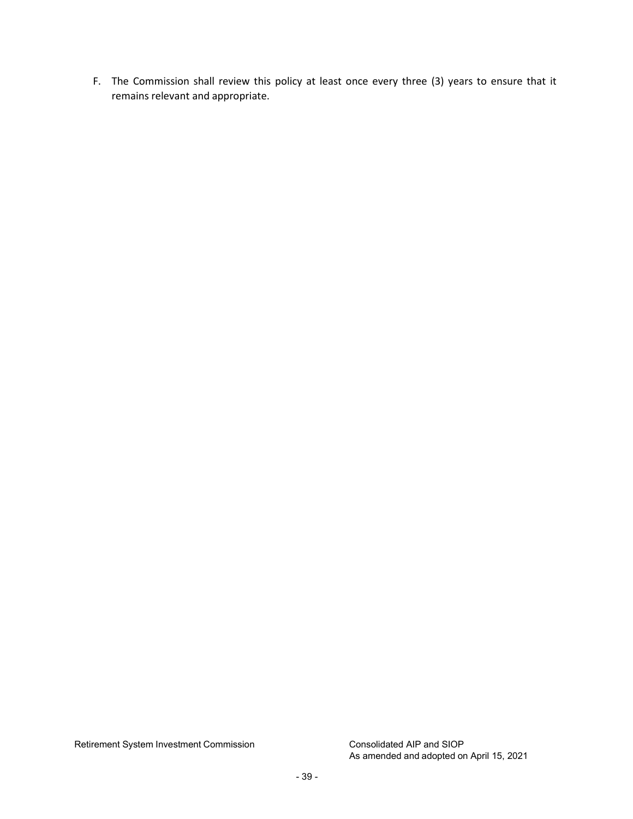F. The Commission shall review this policy at least once every three (3) years to ensure that it remains relevant and appropriate.

Retirement System Investment Commission Consolidated AIP and SIOP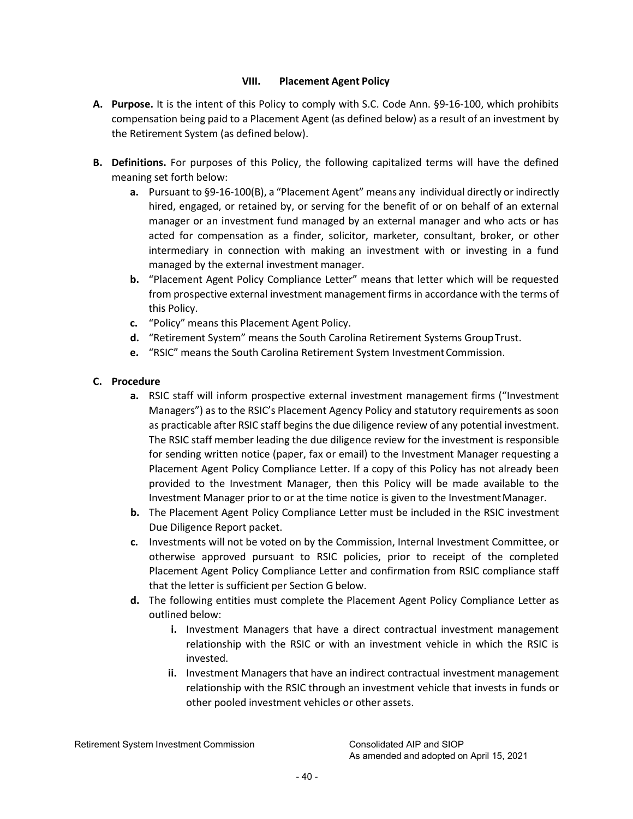# **VIII. Placement Agent Policy**

- <span id="page-39-0"></span>**A. Purpose.** It is the intent of this Policy to comply with S.C. Code Ann. §9-16-100, which prohibits compensation being paid to a Placement Agent (as defined below) as a result of an investment by the Retirement System (as defined below).
- **B. Definitions.** For purposes of this Policy, the following capitalized terms will have the defined meaning set forth below:
	- **a.** Pursuant to §9-16-100(B), a "Placement Agent" means any individual directly or indirectly hired, engaged, or retained by, or serving for the benefit of or on behalf of an external manager or an investment fund managed by an external manager and who acts or has acted for compensation as a finder, solicitor, marketer, consultant, broker, or other intermediary in connection with making an investment with or investing in a fund managed by the external investment manager.
	- **b.** "Placement Agent Policy Compliance Letter" means that letter which will be requested from prospective external investment management firms in accordance with the terms of this Policy.
	- **c.** "Policy" means this Placement Agent Policy.
	- **d.** "Retirement System" means the South Carolina Retirement Systems GroupTrust.
	- **e.** "RSIC" means the South Carolina Retirement System Investment Commission.

# **C. Procedure**

- **a.** RSIC staff will inform prospective external investment management firms ("Investment Managers") as to the RSIC's Placement Agency Policy and statutory requirements as soon as practicable after RSIC staff begins the due diligence review of any potential investment. The RSIC staff member leading the due diligence review for the investment is responsible for sending written notice (paper, fax or email) to the Investment Manager requesting a Placement Agent Policy Compliance Letter. If a copy of this Policy has not already been provided to the Investment Manager, then this Policy will be made available to the Investment Manager prior to or at the time notice is given to the InvestmentManager.
- **b.** The Placement Agent Policy Compliance Letter must be included in the RSIC investment Due Diligence Report packet.
- **c.** Investments will not be voted on by the Commission, Internal Investment Committee, or otherwise approved pursuant to RSIC policies, prior to receipt of the completed Placement Agent Policy Compliance Letter and confirmation from RSIC compliance staff that the letter is sufficient per Section G below.
- **d.** The following entities must complete the Placement Agent Policy Compliance Letter as outlined below:
	- **i.** Investment Managers that have a direct contractual investment management relationship with the RSIC or with an investment vehicle in which the RSIC is invested.
	- **ii.** Investment Managers that have an indirect contractual investment management relationship with the RSIC through an investment vehicle that invests in funds or other pooled investment vehicles or other assets.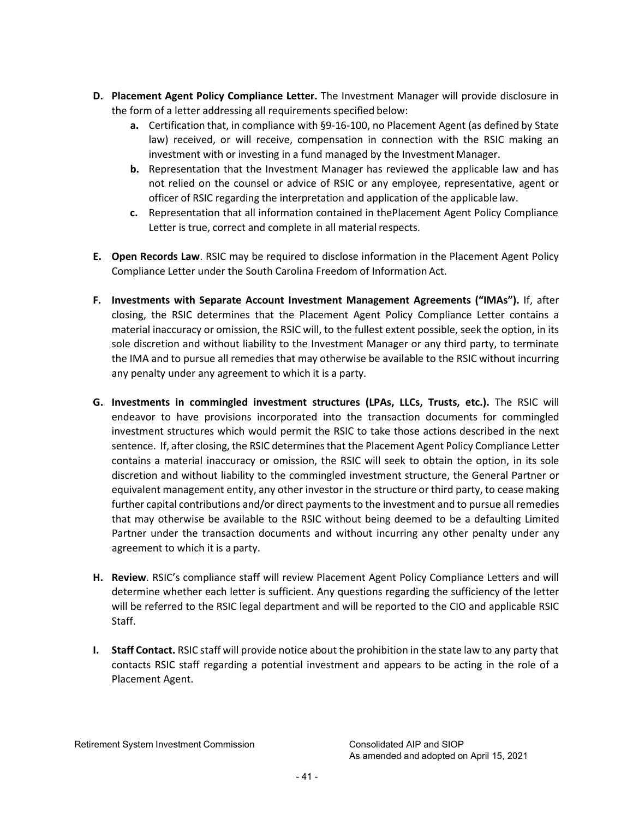- **D. Placement Agent Policy Compliance Letter.** The Investment Manager will provide disclosure in the form of a letter addressing all requirements specified below:
	- **a.** Certification that, in compliance with §9-16-100, no Placement Agent (as defined by State law) received, or will receive, compensation in connection with the RSIC making an investment with or investing in a fund managed by the Investment Manager.
	- **b.** Representation that the Investment Manager has reviewed the applicable law and has not relied on the counsel or advice of RSIC or any employee, representative, agent or officer of RSIC regarding the interpretation and application of the applicable law.
	- **c.** Representation that all information contained in thePlacement Agent Policy Compliance Letter is true, correct and complete in all material respects.
- **E. Open Records Law**. RSIC may be required to disclose information in the Placement Agent Policy Compliance Letter under the South Carolina Freedom of Information Act.
- **F. Investments with Separate Account Investment Management Agreements ("IMAs").** If, after closing, the RSIC determines that the Placement Agent Policy Compliance Letter contains a material inaccuracy or omission, the RSIC will, to the fullest extent possible, seek the option, in its sole discretion and without liability to the Investment Manager or any third party, to terminate the IMA and to pursue all remedies that may otherwise be available to the RSIC without incurring any penalty under any agreement to which it is a party.
- **G. Investments in commingled investment structures (LPAs, LLCs, Trusts, etc.).** The RSIC will endeavor to have provisions incorporated into the transaction documents for commingled investment structures which would permit the RSIC to take those actions described in the next sentence. If, after closing, the RSIC determines that the Placement Agent Policy Compliance Letter contains a material inaccuracy or omission, the RSIC will seek to obtain the option, in its sole discretion and without liability to the commingled investment structure, the General Partner or equivalent management entity, any other investor in the structure or third party, to cease making further capital contributions and/or direct paymentsto the investment and to pursue all remedies that may otherwise be available to the RSIC without being deemed to be a defaulting Limited Partner under the transaction documents and without incurring any other penalty under any agreement to which it is a party.
- **H. Review**. RSIC's compliance staff will review Placement Agent Policy Compliance Letters and will determine whether each letter is sufficient. Any questions regarding the sufficiency of the letter will be referred to the RSIC legal department and will be reported to the CIO and applicable RSIC Staff.
- **I. Staff Contact.** RSIC staff will provide notice about the prohibition in the state law to any party that contacts RSIC staff regarding a potential investment and appears to be acting in the role of a Placement Agent.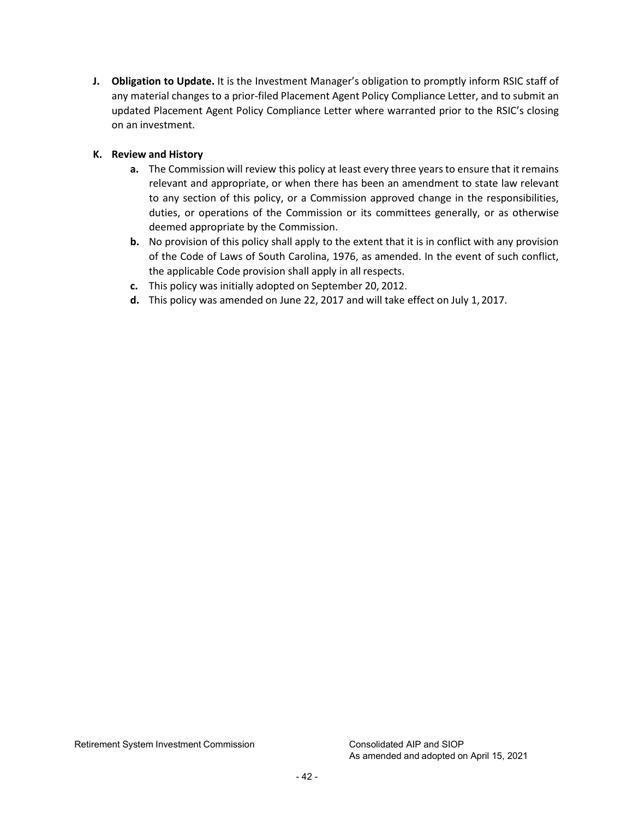**J. Obligation to Update.** It is the Investment Manager's obligation to promptly inform RSIC staff of any material changes to a prior-filed Placement Agent Policy Compliance Letter, and to submit an updated Placement Agent Policy Compliance Letter where warranted prior to the RSIC's closing on an investment.

# **K. Review and History**

- **a.** The Commission will review this policy at least every three years to ensure that it remains relevant and appropriate, or when there has been an amendment to state law relevant to any section of this policy, or a Commission approved change in the responsibilities, duties, or operations of the Commission or its committees generally, or as otherwise deemed appropriate by the Commission.
- **b.** No provision of this policy shall apply to the extent that it is in conflict with any provision of the Code of Laws of South Carolina, 1976, as amended. In the event of such conflict, the applicable Code provision shall apply in all respects.
- **c.** This policy was initially adopted on September 20, 2012.
- **d.** This policy was amended on June 22, 2017 and will take effect on July 1, 2017.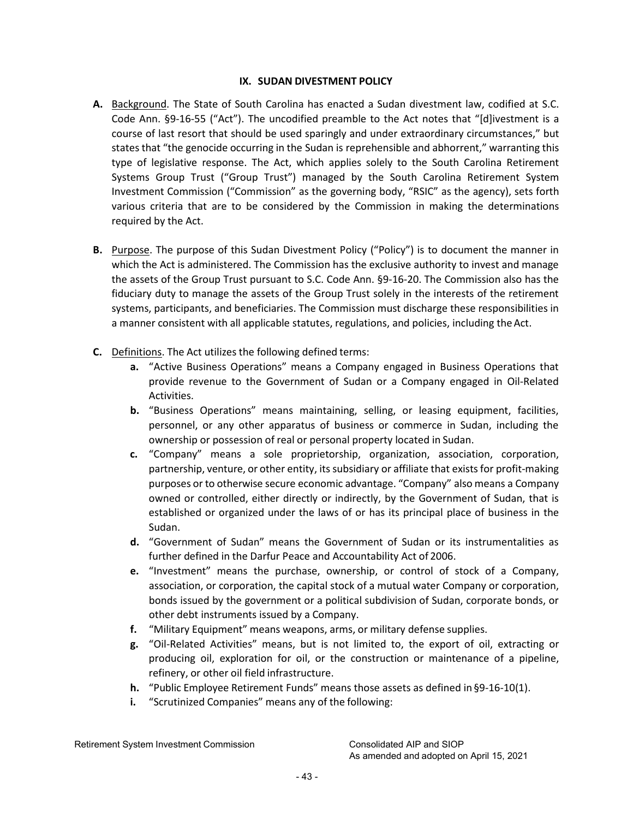# **IX. SUDAN DIVESTMENT POLICY**

- <span id="page-42-0"></span>**A.** Background. The State of South Carolina has enacted a Sudan divestment law, codified at S.C. Code Ann. §9-16-55 ("Act"). The uncodified preamble to the Act notes that "[d]ivestment is a course of last resort that should be used sparingly and under extraordinary circumstances," but states that "the genocide occurring in the Sudan is reprehensible and abhorrent," warranting this type of legislative response. The Act, which applies solely to the South Carolina Retirement Systems Group Trust ("Group Trust") managed by the South Carolina Retirement System Investment Commission ("Commission" as the governing body, "RSIC" as the agency), sets forth various criteria that are to be considered by the Commission in making the determinations required by the Act.
- **B.** Purpose. The purpose of this Sudan Divestment Policy ("Policy") is to document the manner in which the Act is administered. The Commission has the exclusive authority to invest and manage the assets of the Group Trust pursuant to S.C. Code Ann. §9-16-20. The Commission also has the fiduciary duty to manage the assets of the Group Trust solely in the interests of the retirement systems, participants, and beneficiaries. The Commission must discharge these responsibilities in a manner consistent with all applicable statutes, regulations, and policies, including the Act.
- **C.** Definitions. The Act utilizes the following defined terms:
	- **a.** "Active Business Operations" means a Company engaged in Business Operations that provide revenue to the Government of Sudan or a Company engaged in Oil-Related Activities.
	- **b.** "Business Operations" means maintaining, selling, or leasing equipment, facilities, personnel, or any other apparatus of business or commerce in Sudan, including the ownership or possession of real or personal property located in Sudan.
	- **c.** "Company" means a sole proprietorship, organization, association, corporation, partnership, venture, or other entity, its subsidiary or affiliate that exists for profit-making purposes or to otherwise secure economic advantage. "Company" also means a Company owned or controlled, either directly or indirectly, by the Government of Sudan, that is established or organized under the laws of or has its principal place of business in the Sudan.
	- **d.** "Government of Sudan" means the Government of Sudan or its instrumentalities as further defined in the Darfur Peace and Accountability Act of 2006.
	- **e.** "Investment" means the purchase, ownership, or control of stock of a Company, association, or corporation, the capital stock of a mutual water Company or corporation, bonds issued by the government or a political subdivision of Sudan, corporate bonds, or other debt instruments issued by a Company.
	- **f.** "Military Equipment" means weapons, arms, or military defense supplies.
	- **g.** "Oil-Related Activities" means, but is not limited to, the export of oil, extracting or producing oil, exploration for oil, or the construction or maintenance of a pipeline, refinery, or other oil field infrastructure.
	- **h.** "Public Employee Retirement Funds" means those assets as defined in §9-16-10(1).
	- **i.** "Scrutinized Companies" means any of the following:

Retirement System Investment Commission Consolidated AIP and SIOP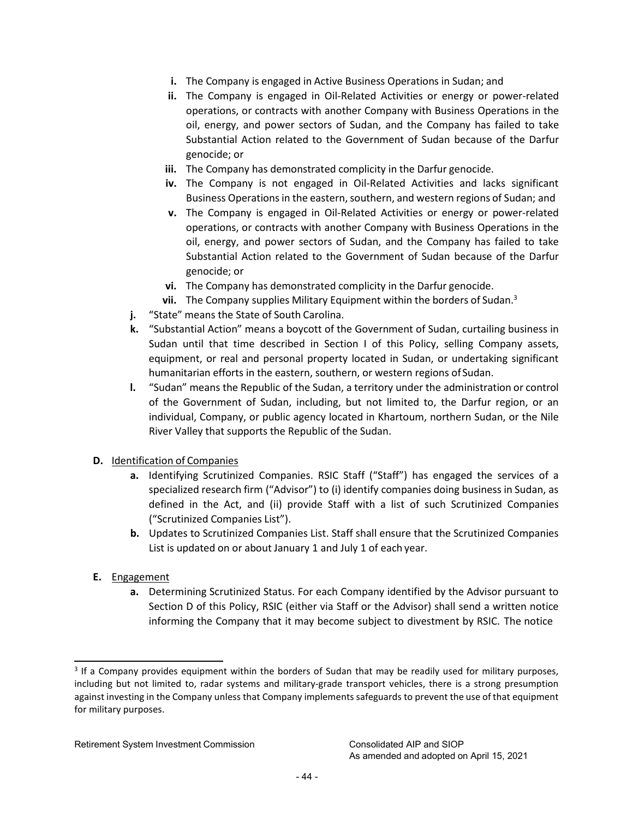- **i.** The Company is engaged in Active Business Operations in Sudan; and
- **ii.** The Company is engaged in Oil-Related Activities or energy or power-related operations, or contracts with another Company with Business Operations in the oil, energy, and power sectors of Sudan, and the Company has failed to take Substantial Action related to the Government of Sudan because of the Darfur genocide; or
- **iii.** The Company has demonstrated complicity in the Darfur genocide.
- **iv.** The Company is not engaged in Oil-Related Activities and lacks significant Business Operations in the eastern, southern, and western regions of Sudan; and
- **v.** The Company is engaged in Oil-Related Activities or energy or power-related operations, or contracts with another Company with Business Operations in the oil, energy, and power sectors of Sudan, and the Company has failed to take Substantial Action related to the Government of Sudan because of the Darfur genocide; or
- **vi.** The Company has demonstrated complicity in the Darfur genocide.
- **vii.** The Company supplies Military Equipment within the borders of Suda[n.](#page-43-0) 3
- **j.** "State" means the State of South Carolina.
- **k.** "Substantial Action" means a boycott of the Government of Sudan, curtailing business in Sudan until that time described in Section I of this Policy, selling Company assets, equipment, or real and personal property located in Sudan, or undertaking significant humanitarian efforts in the eastern, southern, or western regions of Sudan.
- **l.** "Sudan" means the Republic of the Sudan, a territory under the administration or control of the Government of Sudan, including, but not limited to, the Darfur region, or an individual, Company, or public agency located in Khartoum, northern Sudan, or the Nile River Valley that supports the Republic of the Sudan.
- **D.** Identification of Companies
	- **a.** Identifying Scrutinized Companies. RSIC Staff ("Staff") has engaged the services of a specialized research firm ("Advisor") to (i) identify companies doing business in Sudan, as defined in the Act, and (ii) provide Staff with a list of such Scrutinized Companies ("Scrutinized Companies List").
	- **b.** Updates to Scrutinized Companies List. Staff shall ensure that the Scrutinized Companies List is updated on or about January 1 and July 1 of each year.
- **E.** Engagement
	- **a.** Determining Scrutinized Status. For each Company identified by the Advisor pursuant to Section D of this Policy, RSIC (either via Staff or the Advisor) shall send a written notice informing the Company that it may become subject to divestment by RSIC. The notice

<span id="page-43-0"></span><sup>&</sup>lt;sup>3</sup> If a Company provides equipment within the borders of Sudan that may be readily used for military purposes, including but not limited to, radar systems and military-grade transport vehicles, there is a strong presumption against investing in the Company unless that Company implements safeguards to prevent the use of that equipment for military purposes.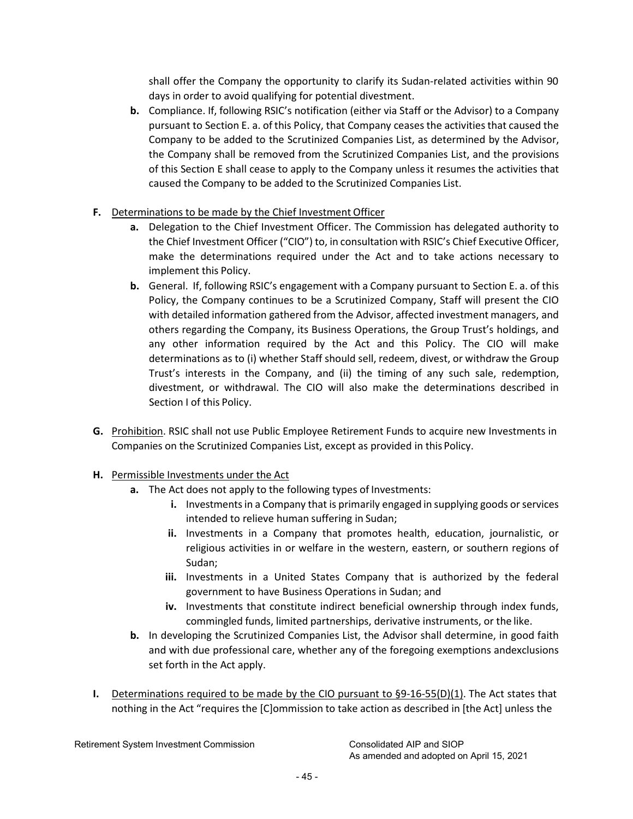shall offer the Company the opportunity to clarify its Sudan-related activities within 90 days in order to avoid qualifying for potential divestment.

- **b.** Compliance. If, following RSIC's notification (either via Staff or the Advisor) to a Company pursuant to Section E. a. of this Policy, that Company ceases the activities that caused the Company to be added to the Scrutinized Companies List, as determined by the Advisor, the Company shall be removed from the Scrutinized Companies List, and the provisions of this Section E shall cease to apply to the Company unless it resumes the activities that caused the Company to be added to the Scrutinized Companies List.
- **F.** Determinations to be made by the Chief Investment Officer
	- **a.** Delegation to the Chief Investment Officer. The Commission has delegated authority to the Chief Investment Officer ("CIO") to, in consultation with RSIC's Chief Executive Officer, make the determinations required under the Act and to take actions necessary to implement this Policy.
	- **b.** General. If, following RSIC's engagement with a Company pursuant to Section E. a. of this Policy, the Company continues to be a Scrutinized Company, Staff will present the CIO with detailed information gathered from the Advisor, affected investment managers, and others regarding the Company, its Business Operations, the Group Trust's holdings, and any other information required by the Act and this Policy. The CIO will make determinations as to (i) whether Staff should sell, redeem, divest, or withdraw the Group Trust's interests in the Company, and (ii) the timing of any such sale, redemption, divestment, or withdrawal. The CIO will also make the determinations described in Section I of this Policy.
- **G.** Prohibition. RSIC shall not use Public Employee Retirement Funds to acquire new Investments in Companies on the Scrutinized Companies List, except as provided in this Policy.
- **H.** Permissible Investments under the Act
	- **a.** The Act does not apply to the following types of Investments:
		- **i.** Investments in a Company that is primarily engaged in supplying goods or services intended to relieve human suffering in Sudan;
		- **ii.** Investments in a Company that promotes health, education, journalistic, or religious activities in or welfare in the western, eastern, or southern regions of Sudan;
		- **iii.** Investments in a United States Company that is authorized by the federal government to have Business Operations in Sudan; and
		- **iv.** Investments that constitute indirect beneficial ownership through index funds, commingled funds, limited partnerships, derivative instruments, or the like.
	- **b.** In developing the Scrutinized Companies List, the Advisor shall determine, in good faith and with due professional care, whether any of the foregoing exemptions andexclusions set forth in the Act apply.
- **I.** Determinations required to be made by the CIO pursuant to §9-16-55(D)(1). The Act states that nothing in the Act "requires the [C]ommission to take action as described in [the Act] unless the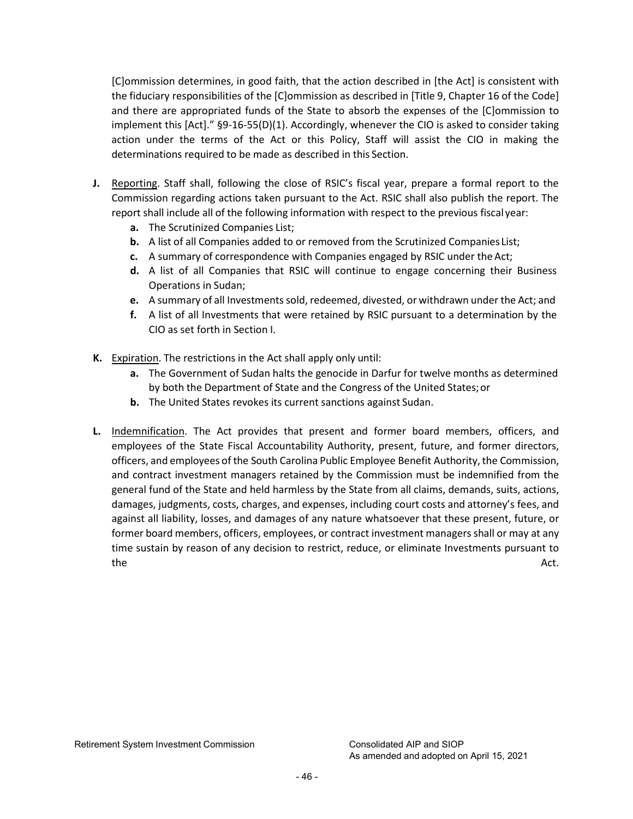[C]ommission determines, in good faith, that the action described in [the Act] is consistent with the fiduciary responsibilities of the [C]ommission as described in [Title 9, Chapter 16 of the Code] and there are appropriated funds of the State to absorb the expenses of the [C]ommission to implement this [Act]." §9-16-55(D)(1). Accordingly, whenever the CIO is asked to consider taking action under the terms of the Act or this Policy, Staff will assist the CIO in making the determinations required to be made as described in this Section.

- **J.** Reporting. Staff shall, following the close of RSIC's fiscal year, prepare a formal report to the Commission regarding actions taken pursuant to the Act. RSIC shall also publish the report. The report shall include all of the following information with respect to the previous fiscal year:
	- **a.** The Scrutinized Companies List;
	- **b.** A list of all Companies added to or removed from the Scrutinized Companies List;
	- **c.** A summary of correspondence with Companies engaged by RSIC under the Act;
	- **d.** A list of all Companies that RSIC will continue to engage concerning their Business Operations in Sudan;
	- **e.** A summary of all Investmentssold, redeemed, divested, or withdrawn under the Act; and
	- **f.** A list of all Investments that were retained by RSIC pursuant to a determination by the CIO as set forth in Section I.
- **K.** Expiration. The restrictions in the Act shall apply only until:
	- **a.** The Government of Sudan halts the genocide in Darfur for twelve months as determined by both the Department of State and the Congress of the United States;or
	- **b.** The United States revokes its current sanctions against Sudan.
- **L.** Indemnification. The Act provides that present and former board members, officers, and employees of the State Fiscal Accountability Authority, present, future, and former directors, officers, and employees of the South Carolina Public Employee Benefit Authority, the Commission, and contract investment managers retained by the Commission must be indemnified from the general fund of the State and held harmless by the State from all claims, demands, suits, actions, damages, judgments, costs, charges, and expenses, including court costs and attorney's fees, and against all liability, losses, and damages of any nature whatsoever that these present, future, or former board members, officers, employees, or contract investment managers shall or may at any time sustain by reason of any decision to restrict, reduce, or eliminate Investments pursuant to the action of the Act. Action of the Action of the Action of the Action of the Action of the Action of the Act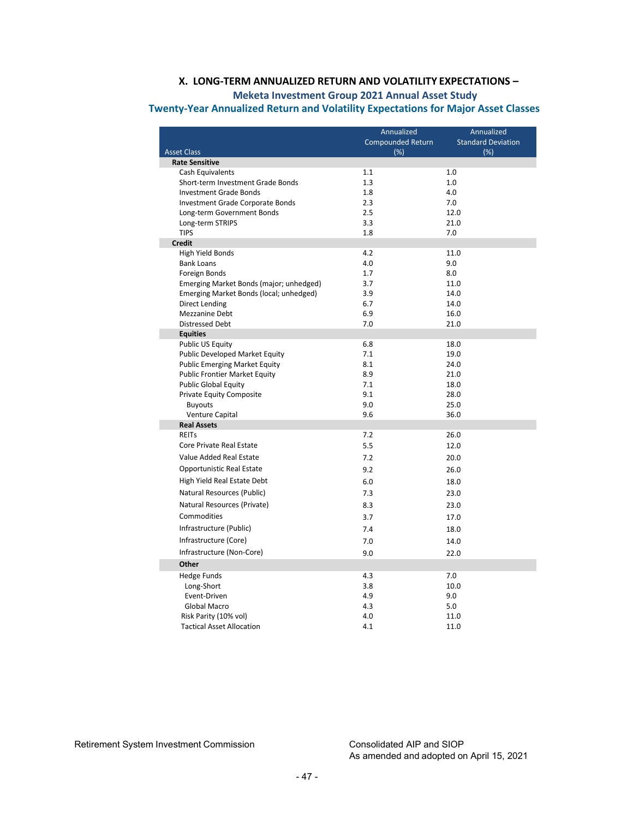# **X. LONG-TERM ANNUALIZED RETURN AND VOLATILITY EXPECTATIONS –**

# **Meketa Investment Group 2021 Annual Asset Study**

<span id="page-46-0"></span> **Twenty-Year Annualized Return and Volatility Expectations for Major Asset Classes** 

|                                         | Annualized        | Annualized                |
|-----------------------------------------|-------------------|---------------------------|
|                                         | Compounded Return | <b>Standard Deviation</b> |
| <b>Asset Class</b>                      | (%)               | (%)                       |
| <b>Rate Sensitive</b>                   |                   |                           |
| Cash Equivalents                        | 1.1               | 1.0                       |
| Short-term Investment Grade Bonds       | 1.3               | 1.0                       |
| <b>Investment Grade Bonds</b>           | 1.8               | 4.0                       |
| Investment Grade Corporate Bonds        | 2.3               | 7.0                       |
| Long-term Government Bonds              | 2.5               | 12.0                      |
| Long-term STRIPS                        | 3.3               | 21.0                      |
| <b>TIPS</b>                             | 1.8               | 7.0                       |
| <b>Credit</b>                           |                   |                           |
| High Yield Bonds                        | 4.2               | 11.0                      |
| <b>Bank Loans</b>                       | 4.0               | 9.0                       |
| Foreign Bonds                           | 1.7               | 8.0                       |
| Emerging Market Bonds (major; unhedged) | 3.7               | 11.0                      |
| Emerging Market Bonds (local; unhedged) | 3.9               | 14.0                      |
| <b>Direct Lending</b>                   | 6.7               | 14.0                      |
| Mezzanine Debt                          | 6.9               | 16.0                      |
| <b>Distressed Debt</b>                  | 7.0               | 21.0                      |
| <b>Equities</b>                         |                   |                           |
| Public US Equity                        | 6.8               | 18.0                      |
| Public Developed Market Equity          | 7.1               | 19.0                      |
| <b>Public Emerging Market Equity</b>    | 8.1               | 24.0                      |
| <b>Public Frontier Market Equity</b>    | 8.9               | 21.0                      |
| <b>Public Global Equity</b>             | 7.1               | 18.0<br>28.0              |
| Private Equity Composite                | 9.1<br>9.0        | 25.0                      |
| <b>Buyouts</b><br>Venture Capital       | 9.6               | 36.0                      |
| <b>Real Assets</b>                      |                   |                           |
| <b>REITS</b>                            | 7.2               | 26.0                      |
| Core Private Real Estate                | 5.5               | 12.0                      |
|                                         |                   |                           |
| Value Added Real Estate                 | 7.2               | 20.0                      |
| Opportunistic Real Estate               | 9.2               | 26.0                      |
| High Yield Real Estate Debt             | 6.0               | 18.0                      |
| Natural Resources (Public)              | 7.3               | 23.0                      |
| Natural Resources (Private)             | 8.3               | 23.0                      |
| Commodities                             | 3.7               | 17.0                      |
| Infrastructure (Public)                 | 7.4               | 18.0                      |
|                                         |                   |                           |
| Infrastructure (Core)                   | 7.0               | 14.0                      |
| Infrastructure (Non-Core)               | 9.0               | 22.0                      |
| Other                                   |                   |                           |
| <b>Hedge Funds</b>                      | 4.3               | 7.0                       |
| Long-Short                              | 3.8               | 10.0                      |
| Event-Driven                            | 4.9               | 9.0                       |
| Global Macro                            | 4.3               | 5.0                       |
| Risk Parity (10% vol)                   | 4.0               | 11.0                      |
| <b>Tactical Asset Allocation</b>        | 4.1               | 11.0                      |

Retirement System Investment Commission Consolidated AIP and SIOP